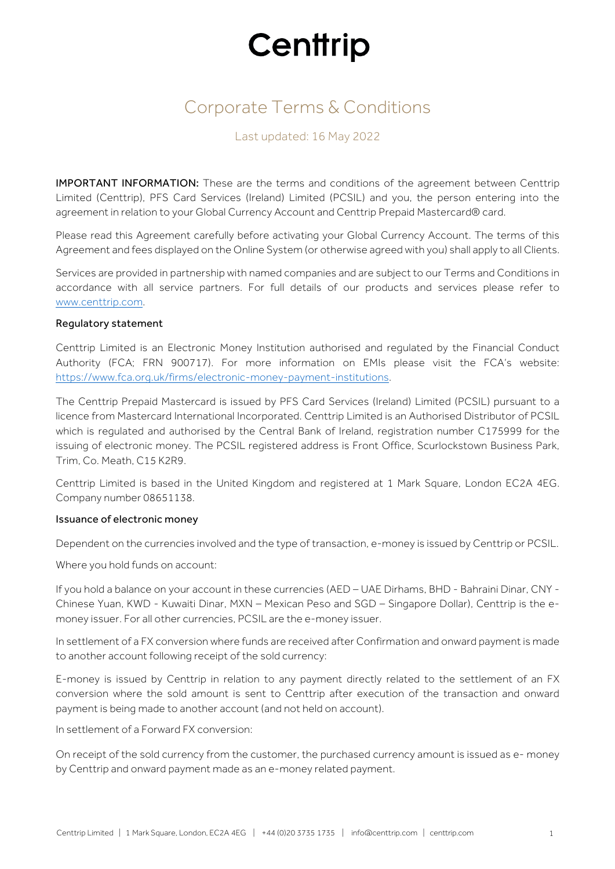## Corporate Terms & Conditions

### Last updated: 16 May 2022

IMPORTANT INFORMATION: These are the terms and conditions of the agreement between Centtrip Limited (Centtrip), PFS Card Services (Ireland) Limited (PCSIL) and you, the person entering into the agreement in relation to your Global Currency Account and Centtrip Prepaid Mastercard® card.

Please read this Agreement carefully before activating your Global Currency Account. The terms of this Agreement and fees displayed on the Online System (or otherwise agreed with you) shall apply to all Clients.

Services are provided in partnership with named companies and are subject to our Terms and Conditions in accordance with all service partners. For full details of our products and services please refer to www.centtrip.com.

#### Regulatory statement

Centtrip Limited is an Electronic Money Institution authorised and regulated by the Financial Conduct Authority (FCA; FRN 900717). For more information on EMIs please visit the FCA's website: https://www.fca.org.uk/firms/electronic-money-payment-institutions.

The Centtrip Prepaid Mastercard is issued by PFS Card Services (Ireland) Limited (PCSIL) pursuant to a licence from Mastercard International Incorporated. Centtrip Limited is an Authorised Distributor of PCSIL which is regulated and authorised by the Central Bank of Ireland, registration number C175999 for the issuing of electronic money. The PCSIL registered address is Front Office, Scurlockstown Business Park, Trim, Co. Meath, C15 K2R9.

Centtrip Limited is based in the United Kingdom and registered at 1 Mark Square, London EC2A 4EG. Company number 08651138.

#### Issuance of electronic money

Dependent on the currencies involved and the type of transaction, e-money is issued by Centtrip or PCSIL.

Where you hold funds on account:

If you hold a balance on your account in these currencies (AED – UAE Dirhams, BHD - Bahraini Dinar, CNY - Chinese Yuan, KWD - Kuwaiti Dinar, MXN – Mexican Peso and SGD – Singapore Dollar), Centtrip is the emoney issuer. For all other currencies, PCSIL are the e-money issuer.

In settlement of a FX conversion where funds are received after Confirmation and onward payment is made to another account following receipt of the sold currency:

E-money is issued by Centtrip in relation to any payment directly related to the settlement of an FX conversion where the sold amount is sent to Centtrip after execution of the transaction and onward payment is being made to another account (and not held on account).

In settlement of a Forward FX conversion:

On receipt of the sold currency from the customer, the purchased currency amount is issued as e- money by Centtrip and onward payment made as an e-money related payment.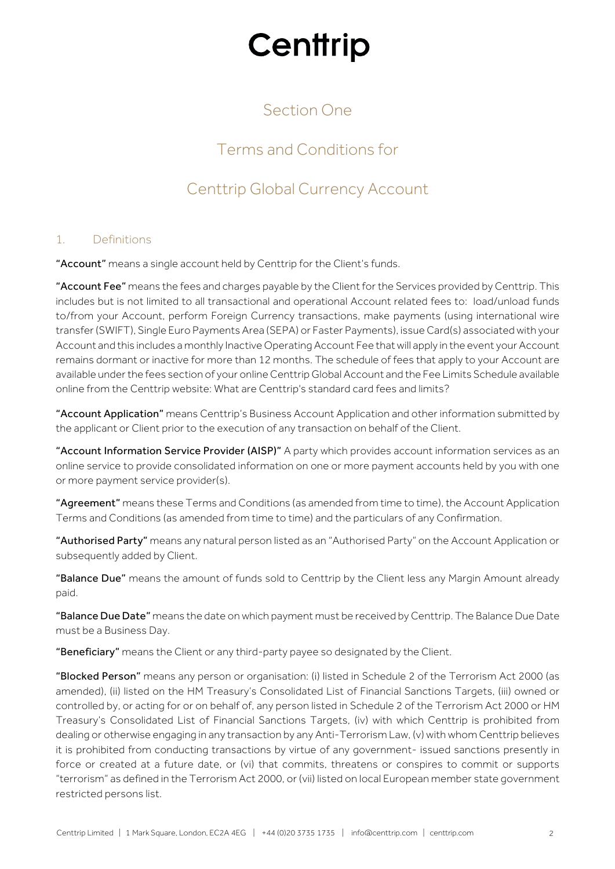## Section One

## Terms and Conditions for

## Centtrip Global Currency Account

#### 1. Definitions

"Account" means a single account held by Centtrip for the Client's funds.

"Account Fee" means the fees and charges payable by the Client for the Services provided by Centtrip. This includes but is not limited to all transactional and operational Account related fees to: load/unload funds to/from your Account, perform Foreign Currency transactions, make payments (using international wire transfer (SWIFT), Single Euro Payments Area (SEPA) or Faster Payments), issue Card(s) associated with your Account and this includes a monthly Inactive Operating Account Fee that will apply in the event your Account remains dormant or inactive for more than 12 months. The schedule of fees that apply to your Account are available under the fees section of your online Centtrip Global Account and the Fee Limits Schedule available online from the Centtrip website: What are Centtrip's standard card fees and limits?

"Account Application" means Centtrip's Business Account Application and other information submitted by the applicant or Client prior to the execution of any transaction on behalf of the Client.

"Account Information Service Provider (AISP)" A party which provides account information services as an online service to provide consolidated information on one or more payment accounts held by you with one or more payment service provider(s).

"Agreement" means these Terms and Conditions (as amended from time to time), the Account Application Terms and Conditions (as amended from time to time) and the particulars of any Confirmation.

"Authorised Party" means any natural person listed as an "Authorised Party" on the Account Application or subsequently added by Client.

"Balance Due" means the amount of funds sold to Centtrip by the Client less any Margin Amount already paid.

"Balance Due Date" means the date on which payment must be received by Centtrip. The Balance Due Date must be a Business Day.

"Beneficiary" means the Client or any third-party payee so designated by the Client.

"Blocked Person" means any person or organisation: (i) listed in Schedule 2 of the Terrorism Act 2000 (as amended), (ii) listed on the HM Treasury's Consolidated List of Financial Sanctions Targets, (iii) owned or controlled by, or acting for or on behalf of, any person listed in Schedule 2 of the Terrorism Act 2000 or HM Treasury's Consolidated List of Financial Sanctions Targets, (iv) with which Centtrip is prohibited from dealing or otherwise engaging in any transaction by any Anti-Terrorism Law, (v) with whom Centtrip believes it is prohibited from conducting transactions by virtue of any government- issued sanctions presently in force or created at a future date, or (vi) that commits, threatens or conspires to commit or supports "terrorism" as defined in the Terrorism Act 2000, or (vii) listed on local European member state government restricted persons list.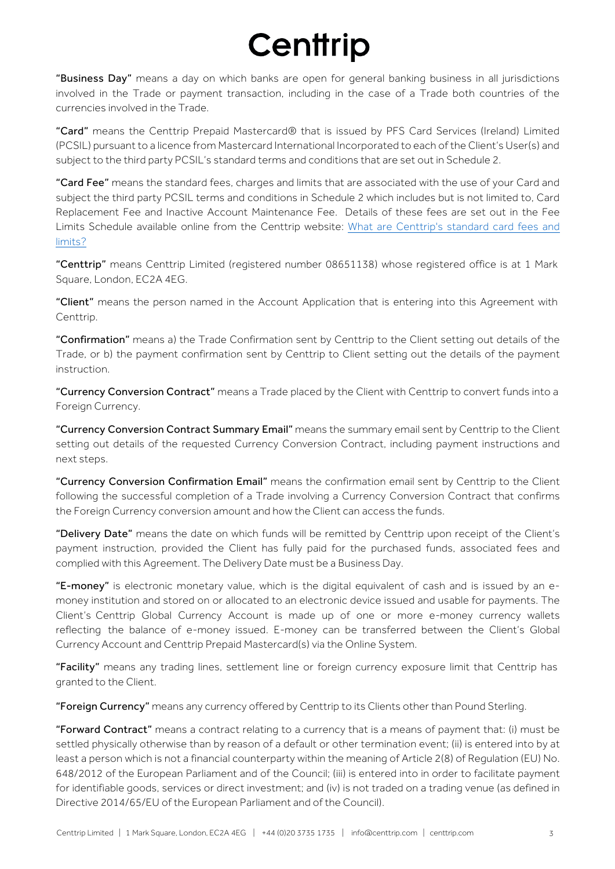"Business Day" means a day on which banks are open for general banking business in all jurisdictions involved in the Trade or payment transaction, including in the case of a Trade both countries of the currencies involved in the Trade.

"Card" means the Centtrip Prepaid Mastercard® that is issued by PFS Card Services (Ireland) Limited (PCSIL) pursuant to a licence from Mastercard International Incorporated to each of the Client's User(s) and subject to the third party PCSIL's standard terms and conditions that are set out in Schedule 2.

"Card Fee" means the standard fees, charges and limits that are associated with the use of your Card and subject the third party PCSIL terms and conditions in Schedule 2 which includes but is not limited to, Card Replacement Fee and Inactive Account Maintenance Fee. Details of these fees are set out in the Fee Limits [Schedule available online from the Centtrip website: What are Centtrip's standard card fees and](https://support.centtrip.com/faqs/what-are-your-card-fees) limits?

"Centtrip" means Centtrip Limited (registered number 08651138) whose registered office is at 1 Mark Square, London, EC2A 4EG.

"Client" means the person named in the Account Application that is entering into this Agreement with Centtrip.

"Confirmation" means a) the Trade Confirmation sent by Centtrip to the Client setting out details of the Trade, or b) the payment confirmation sent by Centtrip to Client setting out the details of the payment instruction.

"Currency Conversion Contract" means a Trade placed by the Client with Centtrip to convert funds into a Foreign Currency.

"Currency Conversion Contract Summary Email" means the summary email sent by Centtrip to the Client setting out details of the requested Currency Conversion Contract, including payment instructions and next steps.

"Currency Conversion Confirmation Email" means the confirmation email sent by Centtrip to the Client following the successful completion of a Trade involving a Currency Conversion Contract that confirms the Foreign Currency conversion amount and how the Client can access the funds.

"Delivery Date" means the date on which funds will be remitted by Centtrip upon receipt of the Client's payment instruction, provided the Client has fully paid for the purchased funds, associated fees and complied with this Agreement. The Delivery Date must be a Business Day.

"E-money" is electronic monetary value, which is the digital equivalent of cash and is issued by an emoney institution and stored on or allocated to an electronic device issued and usable for payments. The Client's Centtrip Global Currency Account is made up of one or more e-money currency wallets reflecting the balance of e-money issued. E-money can be transferred between the Client's Global Currency Account and Centtrip Prepaid Mastercard(s) via the Online System.

"Facility" means any trading lines, settlement line or foreign currency exposure limit that Centtrip has granted to the Client.

"Foreign Currency" means any currency offered by Centtrip to its Clients other than Pound Sterling.

"Forward Contract" means a contract relating to a currency that is a means of payment that: (i) must be settled physically otherwise than by reason of a default or other termination event; (ii) is entered into by at least a person which is not a financial counterparty within the meaning of Article 2(8) of Regulation (EU) No. 648/2012 of the European Parliament and of the Council; (iii) is entered into in order to facilitate payment for identifiable goods, services or direct investment; and (iv) is not traded on a trading venue (as defined in Directive 2014/65/EU of the European Parliament and of the Council).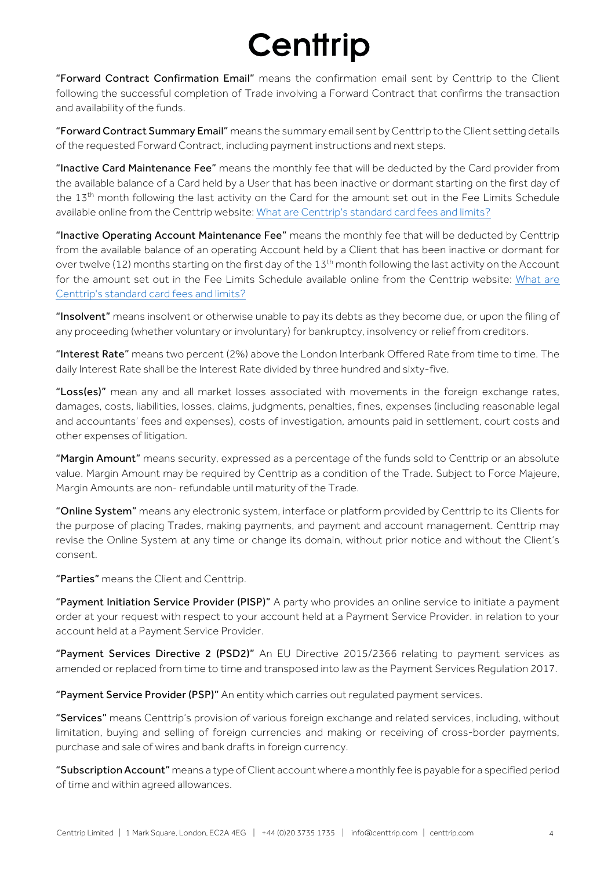"Forward Contract Confirmation Email" means the confirmation email sent by Centtrip to the Client following the successful completion of Trade involving a Forward Contract that confirms the transaction and availability of the funds.

"Forward Contract Summary Email" means the summary email sent by Centtrip to the Client setting details of the requested Forward Contract, including payment instructions and next steps.

"Inactive Card Maintenance Fee" means the monthly fee that will be deducted by the Card provider from the available balance of a Card held by a User that has been inactive or dormant starting on the first day of the 13<sup>th</sup> month following the last activity on the Card for the amount set out in the Fee Limits Schedule available online from the Centtrip website: [What are Centtrip's standard card fees and limits?](https://support.centtrip.com/faqs/what-are-your-card-fees)

"Inactive Operating Account Maintenance Fee" means the monthly fee that will be deducted by Centtrip from the available balance of an operating Account held by a Client that has been inactive or dormant for over twelve (12) months starting on the first day of the 13<sup>th</sup> month following the last activity on the Account for the amount set out in the Fee Limits Schedule available online from the Centtrip website: What are [Centtrip's standard card fees and limits?](https://support.centtrip.com/faqs/what-are-your-card-fees)

"Insolvent" means insolvent or otherwise unable to pay its debts as they become due, or upon the filing of any proceeding (whether voluntary or involuntary) for bankruptcy, insolvency or relief from creditors.

"Interest Rate" means two percent (2%) above the London Interbank Offered Rate from time to time. The daily Interest Rate shall be the Interest Rate divided by three hundred and sixty-five.

"Loss(es)" mean any and all market losses associated with movements in the foreign exchange rates, damages, costs, liabilities, losses, claims, judgments, penalties, fines, expenses (including reasonable legal and accountants' fees and expenses), costs of investigation, amounts paid in settlement, court costs and other expenses of litigation.

"Margin Amount" means security, expressed as a percentage of the funds sold to Centtrip or an absolute value. Margin Amount may be required by Centtrip as a condition of the Trade. Subject to Force Majeure, Margin Amounts are non- refundable until maturity of the Trade.

"Online System" means any electronic system, interface or platform provided by Centtrip to its Clients for the purpose of placing Trades, making payments, and payment and account management. Centtrip may revise the Online System at any time or change its domain, without prior notice and without the Client's consent.

"Parties" means the Client and Centtrip.

"Payment Initiation Service Provider (PISP)" A party who provides an online service to initiate a payment order at your request with respect to your account held at a Payment Service Provider. in relation to your account held at a Payment Service Provider.

"Payment Services Directive 2 (PSD2)" An EU Directive 2015/2366 relating to payment services as amended or replaced from time to time and transposed into law as the Payment Services Regulation 2017.

"Payment Service Provider (PSP)" An entity which carries out regulated payment services.

"Services" means Centtrip's provision of various foreign exchange and related services, including, without limitation, buying and selling of foreign currencies and making or receiving of cross-border payments, purchase and sale of wires and bank drafts in foreign currency.

"Subscription Account" means a type of Client account where a monthly fee is payable for a specified period of time and within agreed allowances.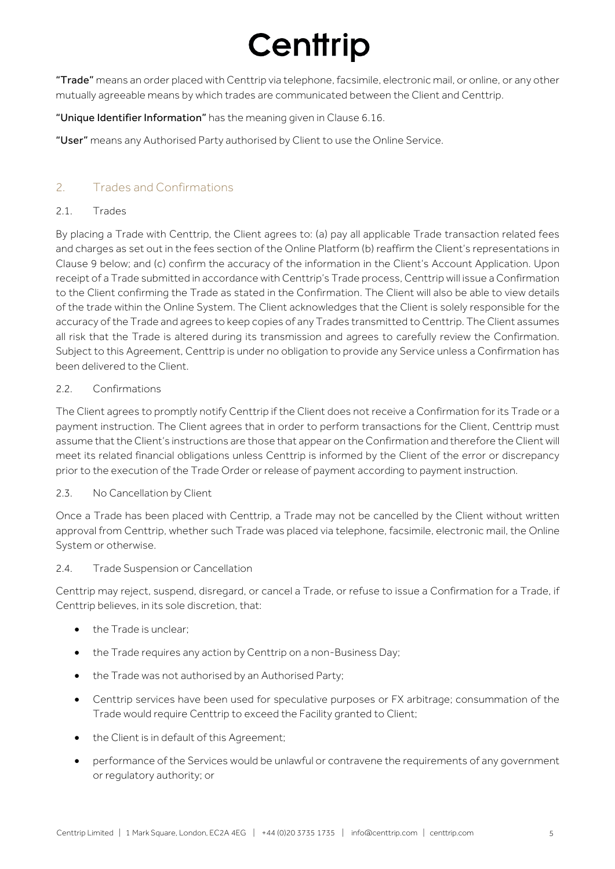"Trade" means an order placed with Centtrip via telephone, facsimile, electronic mail, or online, or any other mutually agreeable means by which trades are communicated between the Client and Centtrip.

### "Unique Identifier Information" has the meaning given in Clause 6.16.

"User" means any Authorised Party authorised by Client to use the Online Service.

### 2. Trades and Confirmations

#### 2.1. Trades

By placing a Trade with Centtrip, the Client agrees to: (a) pay all applicable Trade transaction related fees and charges as set out in the fees section of the Online Platform (b) reaffirm the Client's representations in Clause 9 below; and (c) confirm the accuracy of the information in the Client's Account Application. Upon receipt of a Trade submitted in accordance with Centtrip's Trade process, Centtrip will issue a Confirmation to the Client confirming the Trade as stated in the Confirmation. The Client will also be able to view details of the trade within the Online System. The Client acknowledges that the Client is solely responsible for the accuracy of the Trade and agrees to keep copies of any Trades transmitted to Centtrip. The Client assumes all risk that the Trade is altered during its transmission and agrees to carefully review the Confirmation. Subject to this Agreement, Centtrip is under no obligation to provide any Service unless a Confirmation has been delivered to the Client.

#### 2.2. Confirmations

The Client agrees to promptly notify Centtrip if the Client does not receive a Confirmation for its Trade or a payment instruction. The Client agrees that in order to perform transactions for the Client, Centtrip must assume that the Client's instructions are those that appear on the Confirmation and therefore the Client will meet its related financial obligations unless Centtrip is informed by the Client of the error or discrepancy prior to the execution of the Trade Order or release of payment according to payment instruction.

#### 2.3. No Cancellation by Client

Once a Trade has been placed with Centtrip, a Trade may not be cancelled by the Client without written approval from Centtrip, whether such Trade was placed via telephone, facsimile, electronic mail, the Online System or otherwise.

#### 2.4. Trade Suspension or Cancellation

Centtrip may reject, suspend, disregard, or cancel a Trade, or refuse to issue a Confirmation for a Trade, if Centtrip believes, in its sole discretion, that:

- the Trade is unclear;
- the Trade requires any action by Centtrip on a non-Business Day;
- the Trade was not authorised by an Authorised Party;
- Centtrip services have been used for speculative purposes or FX arbitrage; consummation of the Trade would require Centtrip to exceed the Facility granted to Client;
- the Client is in default of this Agreement;
- performance of the Services would be unlawful or contravene the requirements of any government or regulatory authority; or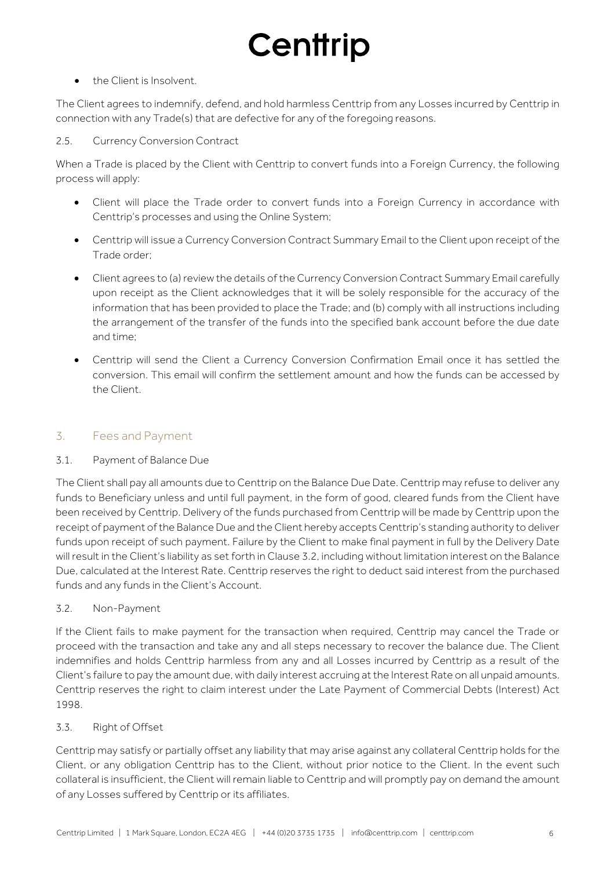### • the Client is Insolvent.

The Client agrees to indemnify, defend, and hold harmless Centtrip from any Losses incurred by Centtrip in connection with any Trade(s) that are defective for any of the foregoing reasons.

#### 2.5. Currency Conversion Contract

When a Trade is placed by the Client with Centtrip to convert funds into a Foreign Currency, the following process will apply:

- Client will place the Trade order to convert funds into a Foreign Currency in accordance with Centtrip's processes and using the Online System;
- Centtrip will issue a Currency Conversion Contract Summary Email to the Client upon receipt of the Trade order;
- Client agrees to (a) review the details of the Currency Conversion Contract Summary Email carefully upon receipt as the Client acknowledges that it will be solely responsible for the accuracy of the information that has been provided to place the Trade; and (b) comply with all instructions including the arrangement of the transfer of the funds into the specified bank account before the due date and time;
- Centtrip will send the Client a Currency Conversion Confirmation Email once it has settled the conversion. This email will confirm the settlement amount and how the funds can be accessed by the Client.

### 3. Fees and Payment

#### 3.1. Payment of Balance Due

The Client shall pay all amounts due to Centtrip on the Balance Due Date. Centtrip may refuse to deliver any funds to Beneficiary unless and until full payment, in the form of good, cleared funds from the Client have been received by Centtrip. Delivery of the funds purchased from Centtrip will be made by Centtrip upon the receipt of payment of the Balance Due and the Client hereby accepts Centtrip's standing authority to deliver funds upon receipt of such payment. Failure by the Client to make final payment in full by the Delivery Date will result in the Client's liability as set forth in Clause 3.2, including without limitation interest on the Balance Due, calculated at the Interest Rate. Centtrip reserves the right to deduct said interest from the purchased funds and any funds in the Client's Account.

#### 3.2. Non-Payment

If the Client fails to make payment for the transaction when required, Centtrip may cancel the Trade or proceed with the transaction and take any and all steps necessary to recover the balance due. The Client indemnifies and holds Centtrip harmless from any and all Losses incurred by Centtrip as a result of the Client's failure to pay the amount due, with daily interest accruing at the Interest Rate on all unpaid amounts. Centtrip reserves the right to claim interest under the Late Payment of Commercial Debts (Interest) Act 1998.

#### 3.3. Right of Offset

Centtrip may satisfy or partially offset any liability that may arise against any collateral Centtrip holds for the Client, or any obligation Centtrip has to the Client, without prior notice to the Client. In the event such collateral is insufficient, the Client will remain liable to Centtrip and will promptly pay on demand the amount of any Losses suffered by Centtrip or its affiliates.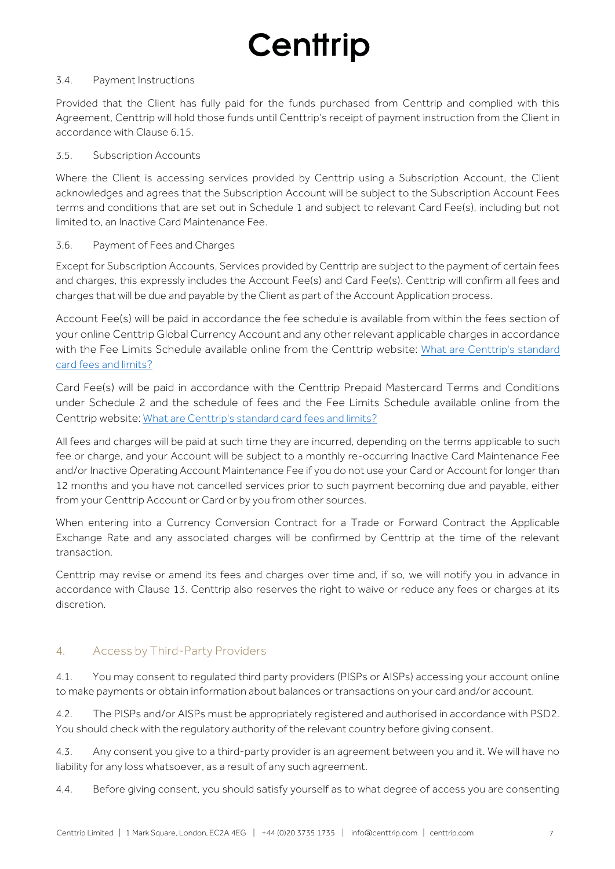#### 3.4. Payment Instructions

Provided that the Client has fully paid for the funds purchased from Centtrip and complied with this Agreement, Centtrip will hold those funds until Centtrip's receipt of payment instruction from the Client in accordance with Clause 6.15.

#### 3.5. Subscription Accounts

Where the Client is accessing services provided by Centtrip using a Subscription Account, the Client acknowledges and agrees that the Subscription Account will be subject to the Subscription Account Fees terms and conditions that are set out in Schedule 1 and subject to relevant Card Fee(s), including but not limited to, an Inactive Card Maintenance Fee.

#### 3.6. Payment of Fees and Charges

Except for Subscription Accounts, Services provided by Centtrip are subject to the payment of certain fees and charges, this expressly includes the Account Fee(s) and Card Fee(s). Centtrip will confirm all fees and charges that will be due and payable by the Client as part of the Account Application process.

Account Fee(s) will be paid in accordance the fee schedule is available from within the fees section of your online Centtrip Global Currency Account and any other relevant applicable charges in accordance with the Fee Limits Schedule available online from the Centtrip website: What are Centtrip's standard [card fees and limits?](https://support.centtrip.com/faqs/what-are-your-card-fees)

Card Fee(s) will be paid in accordance with the Centtrip Prepaid Mastercard Terms and Conditions under Schedule 2 and the schedule of fees and the Fee Limits Schedule available online from the Centtrip website: [What are Centtrip's standard card fees and limits?](https://support.centtrip.com/faqs/what-are-your-card-fees)

All fees and charges will be paid at such time they are incurred, depending on the terms applicable to such fee or charge, and your Account will be subject to a monthly re-occurring Inactive Card Maintenance Fee and/or Inactive Operating Account Maintenance Fee if you do not use your Card or Account for longer than 12 months and you have not cancelled services prior to such payment becoming due and payable, either from your Centtrip Account or Card or by you from other sources.

When entering into a Currency Conversion Contract for a Trade or Forward Contract the Applicable Exchange Rate and any associated charges will be confirmed by Centtrip at the time of the relevant transaction.

Centtrip may revise or amend its fees and charges over time and, if so, we will notify you in advance in accordance with Clause 13. Centtrip also reserves the right to waive or reduce any fees or charges at its discretion.

### 4. Access by Third-Party Providers

4.1. You may consent to regulated third party providers (PISPs or AISPs) accessing your account online to make payments or obtain information about balances or transactions on your card and/or account.

4.2. The PISPs and/or AISPs must be appropriately registered and authorised in accordance with PSD2. You should check with the regulatory authority of the relevant country before giving consent.

4.3. Any consent you give to a third-party provider is an agreement between you and it. We will have no liability for any loss whatsoever, as a result of any such agreement.

4.4. Before giving consent, you should satisfy yourself as to what degree of access you are consenting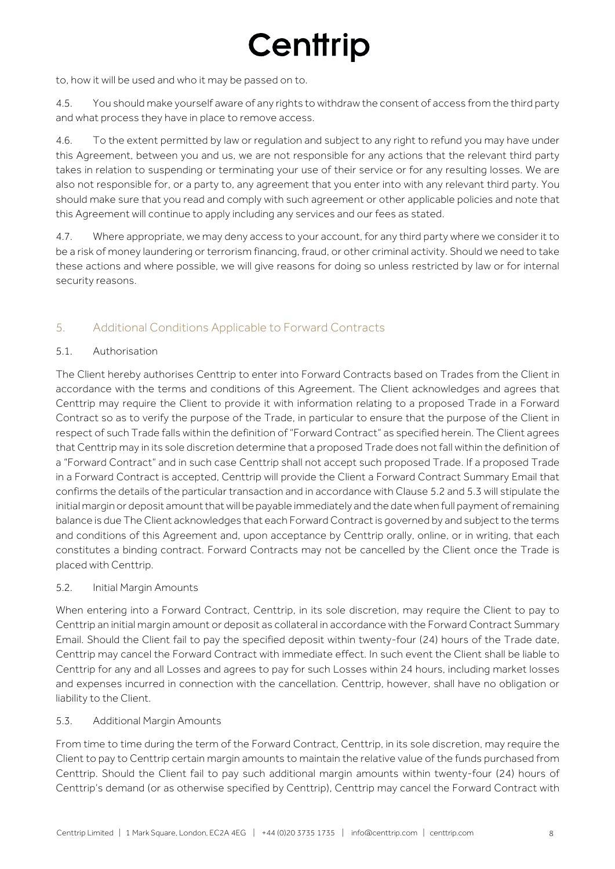to, how it will be used and who it may be passed on to.

4.5. You should make yourself aware of any rights to withdraw the consent of access from the third party and what process they have in place to remove access.

4.6. To the extent permitted by law or regulation and subject to any right to refund you may have under this Agreement, between you and us, we are not responsible for any actions that the relevant third party takes in relation to suspending or terminating your use of their service or for any resulting losses. We are also not responsible for, or a party to, any agreement that you enter into with any relevant third party. You should make sure that you read and comply with such agreement or other applicable policies and note that this Agreement will continue to apply including any services and our fees as stated.

4.7. Where appropriate, we may deny access to your account, for any third party where we consider it to be a risk of money laundering or terrorism financing, fraud, or other criminal activity. Should we need to take these actions and where possible, we will give reasons for doing so unless restricted by law or for internal security reasons.

### 5. Additional Conditions Applicable to Forward Contracts

#### 5.1. Authorisation

The Client hereby authorises Centtrip to enter into Forward Contracts based on Trades from the Client in accordance with the terms and conditions of this Agreement. The Client acknowledges and agrees that Centtrip may require the Client to provide it with information relating to a proposed Trade in a Forward Contract so as to verify the purpose of the Trade, in particular to ensure that the purpose of the Client in respect of such Trade falls within the definition of "Forward Contract" as specified herein. The Client agrees that Centtrip may in its sole discretion determine that a proposed Trade does not fall within the definition of a "Forward Contract" and in such case Centtrip shall not accept such proposed Trade. If a proposed Trade in a Forward Contract is accepted, Centtrip will provide the Client a Forward Contract Summary Email that confirms the details of the particular transaction and in accordance with Clause 5.2 and 5.3 will stipulate the initial margin or deposit amount that will be payable immediately and the date when full payment of remaining balance is due The Client acknowledges that each Forward Contract is governed by and subject to the terms and conditions of this Agreement and, upon acceptance by Centtrip orally, online, or in writing, that each constitutes a binding contract. Forward Contracts may not be cancelled by the Client once the Trade is placed with Centtrip.

#### 5.2. Initial Margin Amounts

When entering into a Forward Contract, Centtrip, in its sole discretion, may require the Client to pay to Centtrip an initial margin amount or deposit as collateral in accordance with the Forward Contract Summary Email. Should the Client fail to pay the specified deposit within twenty-four (24) hours of the Trade date, Centtrip may cancel the Forward Contract with immediate effect. In such event the Client shall be liable to Centtrip for any and all Losses and agrees to pay for such Losses within 24 hours, including market losses and expenses incurred in connection with the cancellation. Centtrip, however, shall have no obligation or liability to the Client.

#### 5.3. Additional Margin Amounts

From time to time during the term of the Forward Contract, Centtrip, in its sole discretion, may require the Client to pay to Centtrip certain margin amounts to maintain the relative value of the funds purchased from Centtrip. Should the Client fail to pay such additional margin amounts within twenty-four (24) hours of Centtrip's demand (or as otherwise specified by Centtrip), Centtrip may cancel the Forward Contract with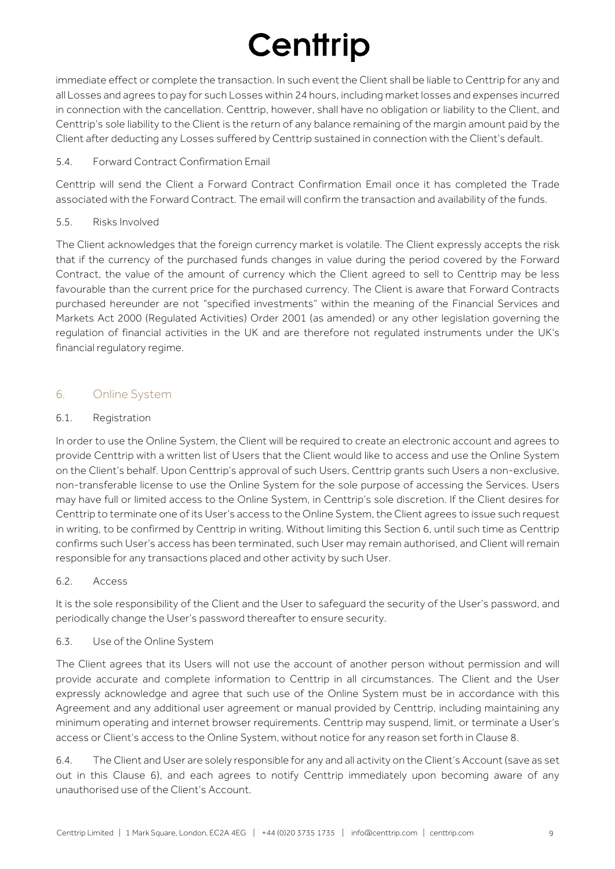immediate effect or complete the transaction. In such event the Client shall be liable to Centtrip for any and all Losses and agrees to pay for such Losses within 24 hours, including market losses and expenses incurred in connection with the cancellation. Centtrip, however, shall have no obligation or liability to the Client, and Centtrip's sole liability to the Client is the return of any balance remaining of the margin amount paid by the Client after deducting any Losses suffered by Centtrip sustained in connection with the Client's default.

### 5.4. Forward Contract Confirmation Email

Centtrip will send the Client a Forward Contract Confirmation Email once it has completed the Trade associated with the Forward Contract. The email will confirm the transaction and availability of the funds.

#### 5.5. Risks Involved

The Client acknowledges that the foreign currency market is volatile. The Client expressly accepts the risk that if the currency of the purchased funds changes in value during the period covered by the Forward Contract, the value of the amount of currency which the Client agreed to sell to Centtrip may be less favourable than the current price for the purchased currency. The Client is aware that Forward Contracts purchased hereunder are not "specified investments" within the meaning of the Financial Services and Markets Act 2000 (Regulated Activities) Order 2001 (as amended) or any other legislation governing the regulation of financial activities in the UK and are therefore not regulated instruments under the UK's financial regulatory regime.

### 6. Online System

#### 6.1. Registration

In order to use the Online System, the Client will be required to create an electronic account and agrees to provide Centtrip with a written list of Users that the Client would like to access and use the Online System on the Client's behalf. Upon Centtrip's approval of such Users, Centtrip grants such Users a non-exclusive, non-transferable license to use the Online System for the sole purpose of accessing the Services. Users may have full or limited access to the Online System, in Centtrip's sole discretion. If the Client desires for Centtrip to terminate one of its User's access to the Online System, the Client agrees to issue such request in writing, to be confirmed by Centtrip in writing. Without limiting this Section 6, until such time as Centtrip confirms such User's access has been terminated, such User may remain authorised, and Client will remain responsible for any transactions placed and other activity by such User.

### 6.2. Access

It is the sole responsibility of the Client and the User to safeguard the security of the User's password, and periodically change the User's password thereafter to ensure security.

#### 6.3. Use of the Online System

The Client agrees that its Users will not use the account of another person without permission and will provide accurate and complete information to Centtrip in all circumstances. The Client and the User expressly acknowledge and agree that such use of the Online System must be in accordance with this Agreement and any additional user agreement or manual provided by Centtrip, including maintaining any minimum operating and internet browser requirements. Centtrip may suspend, limit, or terminate a User's access or Client's access to the Online System, without notice for any reason set forth in Clause 8.

6.4. The Client and User are solely responsible for any and all activity on the Client's Account (save as set out in this Clause 6), and each agrees to notify Centtrip immediately upon becoming aware of any unauthorised use of the Client's Account.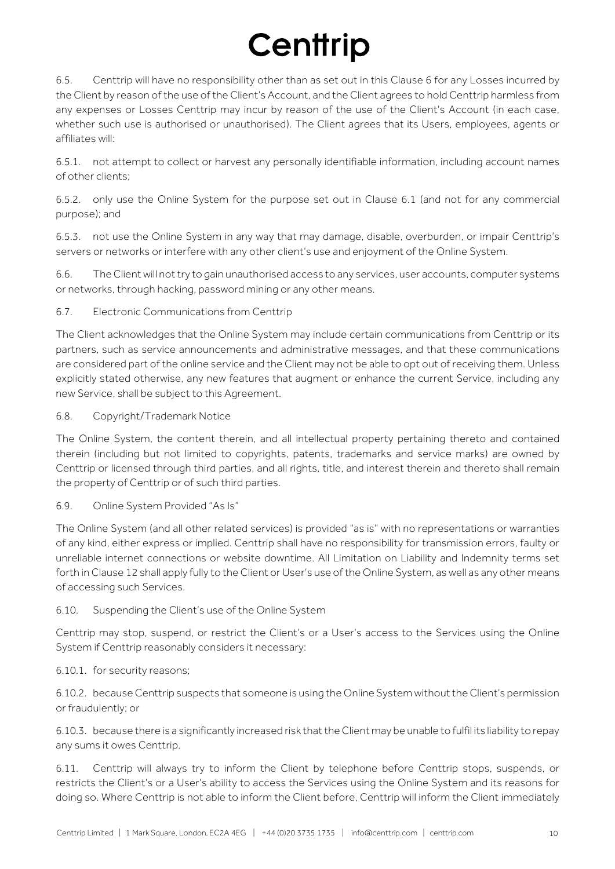6.5. Centtrip will have no responsibility other than as set out in this Clause 6 for any Losses incurred by the Client by reason of the use of the Client's Account, and the Client agrees to hold Centtrip harmless from any expenses or Losses Centtrip may incur by reason of the use of the Client's Account (in each case, whether such use is authorised or unauthorised). The Client agrees that its Users, employees, agents or affiliates will:

6.5.1. not attempt to collect or harvest any personally identifiable information, including account names of other clients;

6.5.2. only use the Online System for the purpose set out in Clause 6.1 (and not for any commercial purpose); and

6.5.3. not use the Online System in any way that may damage, disable, overburden, or impair Centtrip's servers or networks or interfere with any other client's use and enjoyment of the Online System.

6.6. The Client will not try to gain unauthorised access to any services, user accounts, computer systems or networks, through hacking, password mining or any other means.

#### 6.7. Electronic Communications from Centtrip

The Client acknowledges that the Online System may include certain communications from Centtrip or its partners, such as service announcements and administrative messages, and that these communications are considered part of the online service and the Client may not be able to opt out of receiving them. Unless explicitly stated otherwise, any new features that augment or enhance the current Service, including any new Service, shall be subject to this Agreement.

6.8. Copyright/Trademark Notice

The Online System, the content therein, and all intellectual property pertaining thereto and contained therein (including but not limited to copyrights, patents, trademarks and service marks) are owned by Centtrip or licensed through third parties, and all rights, title, and interest therein and thereto shall remain the property of Centtrip or of such third parties.

6.9. Online System Provided "As Is"

The Online System (and all other related services) is provided "as is" with no representations or warranties of any kind, either express or implied. Centtrip shall have no responsibility for transmission errors, faulty or unreliable internet connections or website downtime. All Limitation on Liability and Indemnity terms set forth in Clause 12 shall apply fully to the Client or User's use of the Online System, as well as any other means of accessing such Services.

#### 6.10. Suspending the Client's use of the Online System

Centtrip may stop, suspend, or restrict the Client's or a User's access to the Services using the Online System if Centtrip reasonably considers it necessary:

#### 6.10.1. for security reasons;

6.10.2. because Centtrip suspects that someone is using the Online System without the Client's permission or fraudulently; or

6.10.3. because there is a significantly increased risk that the Client may be unable to fulfil its liability to repay any sums it owes Centtrip.

6.11. Centtrip will always try to inform the Client by telephone before Centtrip stops, suspends, or restricts the Client's or a User's ability to access the Services using the Online System and its reasons for doing so. Where Centtrip is not able to inform the Client before, Centtrip will inform the Client immediately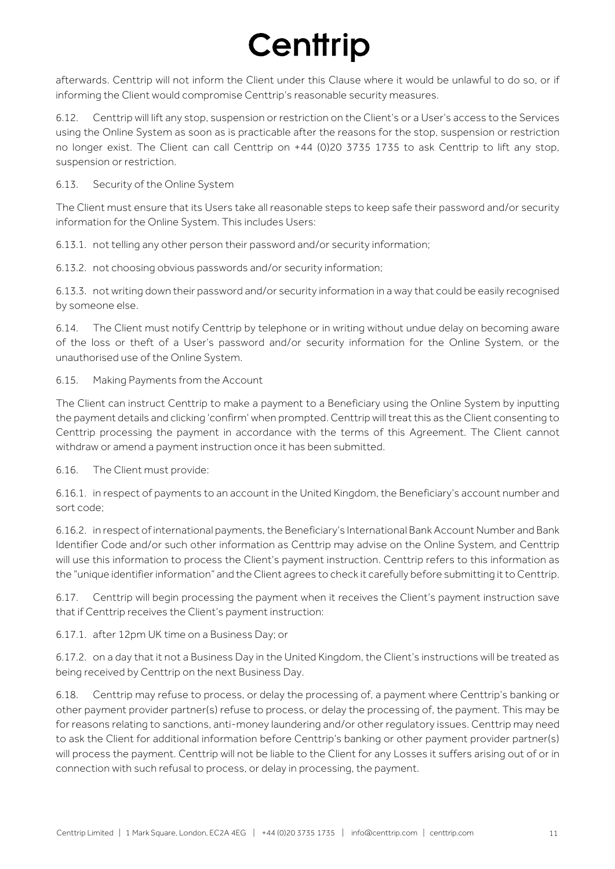afterwards. Centtrip will not inform the Client under this Clause where it would be unlawful to do so, or if informing the Client would compromise Centtrip's reasonable security measures.

6.12. Centtrip will lift any stop, suspension or restriction on the Client's or a User's access to the Services using the Online System as soon as is practicable after the reasons for the stop, suspension or restriction no longer exist. The Client can call Centtrip on +44 (0)20 3735 1735 to ask Centtrip to lift any stop, suspension or restriction.

6.13. Security of the Online System

The Client must ensure that its Users take all reasonable steps to keep safe their password and/or security information for the Online System. This includes Users:

6.13.1. not telling any other person their password and/or security information;

6.13.2. not choosing obvious passwords and/or security information;

6.13.3. not writing down their password and/or security information in a way that could be easily recognised by someone else.

6.14. The Client must notify Centtrip by telephone or in writing without undue delay on becoming aware of the loss or theft of a User's password and/or security information for the Online System, or the unauthorised use of the Online System.

#### 6.15. Making Payments from the Account

The Client can instruct Centtrip to make a payment to a Beneficiary using the Online System by inputting the payment details and clicking 'confirm' when prompted. Centtrip will treat this as the Client consenting to Centtrip processing the payment in accordance with the terms of this Agreement. The Client cannot withdraw or amend a payment instruction once it has been submitted.

6.16. The Client must provide:

6.16.1. in respect of payments to an account in the United Kingdom, the Beneficiary's account number and sort code;

6.16.2. in respect of international payments, the Beneficiary's International Bank Account Number and Bank Identifier Code and/or such other information as Centtrip may advise on the Online System, and Centtrip will use this information to process the Client's payment instruction. Centtrip refers to this information as the "unique identifier information" and the Client agrees to check it carefully before submitting it to Centtrip.

6.17. Centtrip will begin processing the payment when it receives the Client's payment instruction save that if Centtrip receives the Client's payment instruction:

6.17.1. after 12pm UK time on a Business Day; or

6.17.2. on a day that it not a Business Day in the United Kingdom, the Client's instructions will be treated as being received by Centtrip on the next Business Day.

6.18. Centtrip may refuse to process, or delay the processing of, a payment where Centtrip's banking or other payment provider partner(s) refuse to process, or delay the processing of, the payment. This may be for reasons relating to sanctions, anti-money laundering and/or other regulatory issues. Centtrip may need to ask the Client for additional information before Centtrip's banking or other payment provider partner(s) will process the payment. Centtrip will not be liable to the Client for any Losses it suffers arising out of or in connection with such refusal to process, or delay in processing, the payment.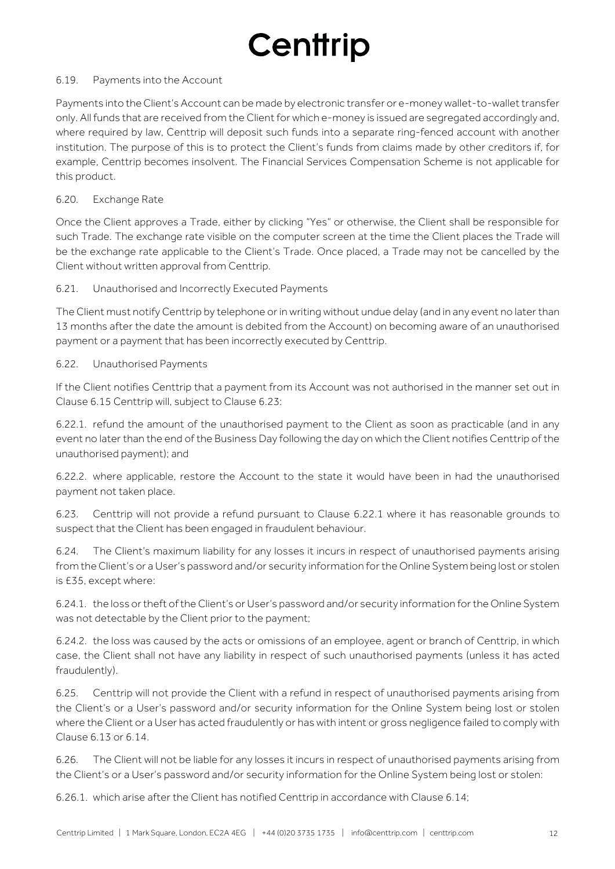#### 6.19. Payments into the Account

Payments into the Client's Account can be made by electronic transfer or e-money wallet-to-wallet transfer only. All funds that are received from the Client for which e-money is issued are segregated accordingly and, where required by law, Centtrip will deposit such funds into a separate ring-fenced account with another institution. The purpose of this is to protect the Client's funds from claims made by other creditors if, for example, Centtrip becomes insolvent. The Financial Services Compensation Scheme is not applicable for this product.

#### 6.20. Exchange Rate

Once the Client approves a Trade, either by clicking "Yes" or otherwise, the Client shall be responsible for such Trade. The exchange rate visible on the computer screen at the time the Client places the Trade will be the exchange rate applicable to the Client's Trade. Once placed, a Trade may not be cancelled by the Client without written approval from Centtrip.

#### 6.21. Unauthorised and Incorrectly Executed Payments

The Client must notify Centtrip by telephone or in writing without undue delay (and in any event no later than 13 months after the date the amount is debited from the Account) on becoming aware of an unauthorised payment or a payment that has been incorrectly executed by Centtrip.

#### 6.22. Unauthorised Payments

If the Client notifies Centtrip that a payment from its Account was not authorised in the manner set out in Clause 6.15 Centtrip will, subject to Clause 6.23:

6.22.1. refund the amount of the unauthorised payment to the Client as soon as practicable (and in any event no later than the end of the Business Day following the day on which the Client notifies Centtrip of the unauthorised payment); and

6.22.2. where applicable, restore the Account to the state it would have been in had the unauthorised payment not taken place.

6.23. Centtrip will not provide a refund pursuant to Clause 6.22.1 where it has reasonable grounds to suspect that the Client has been engaged in fraudulent behaviour.

6.24. The Client's maximum liability for any losses it incurs in respect of unauthorised payments arising from the Client's or a User's password and/or security information for the Online System being lost or stolen is £35, except where:

6.24.1. the loss or theft of the Client's or User's password and/or security information for the Online System was not detectable by the Client prior to the payment;

6.24.2. the loss was caused by the acts or omissions of an employee, agent or branch of Centtrip, in which case, the Client shall not have any liability in respect of such unauthorised payments (unless it has acted fraudulently).

6.25. Centtrip will not provide the Client with a refund in respect of unauthorised payments arising from the Client's or a User's password and/or security information for the Online System being lost or stolen where the Client or a User has acted fraudulently or has with intent or gross negligence failed to comply with Clause 6.13 or 6.14.

6.26. The Client will not be liable for any losses it incurs in respect of unauthorised payments arising from the Client's or a User's password and/or security information for the Online System being lost or stolen:

6.26.1. which arise after the Client has notified Centtrip in accordance with Clause 6.14;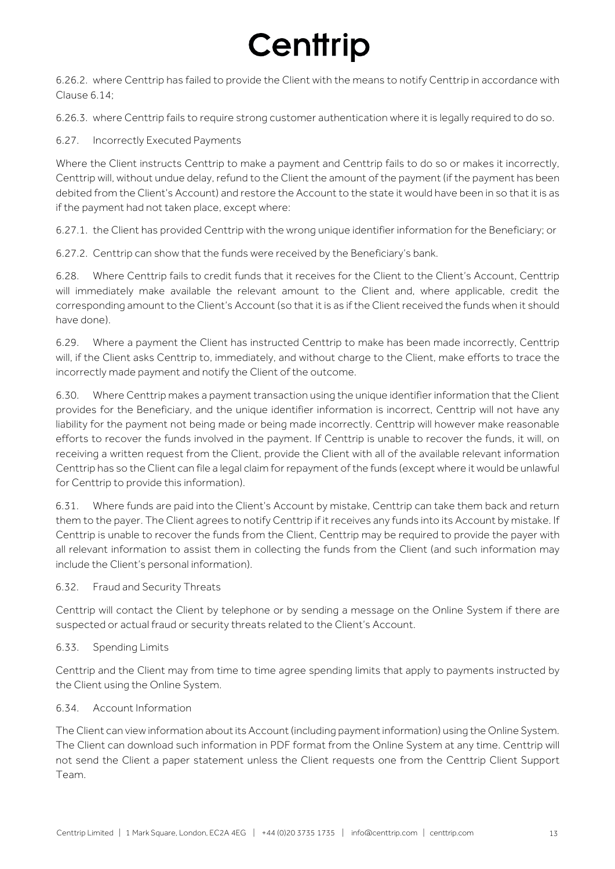6.26.2. where Centtrip has failed to provide the Client with the means to notify Centtrip in accordance with Clause 6.14;

6.26.3. where Centtrip fails to require strong customer authentication where it is legally required to do so.

6.27. Incorrectly Executed Payments

Where the Client instructs Centtrip to make a payment and Centtrip fails to do so or makes it incorrectly, Centtrip will, without undue delay, refund to the Client the amount of the payment (if the payment has been debited from the Client's Account) and restore the Account to the state it would have been in so that it is as if the payment had not taken place, except where:

6.27.1. the Client has provided Centtrip with the wrong unique identifier information for the Beneficiary; or

6.27.2. Centtrip can show that the funds were received by the Beneficiary's bank.

6.28. Where Centtrip fails to credit funds that it receives for the Client to the Client's Account, Centtrip will immediately make available the relevant amount to the Client and, where applicable, credit the corresponding amount to the Client's Account (so that it is as if the Client received the funds when it should have done).

6.29. Where a payment the Client has instructed Centtrip to make has been made incorrectly, Centtrip will, if the Client asks Centtrip to, immediately, and without charge to the Client, make efforts to trace the incorrectly made payment and notify the Client of the outcome.

6.30. Where Centtrip makes a payment transaction using the unique identifier information that the Client provides for the Beneficiary, and the unique identifier information is incorrect, Centtrip will not have any liability for the payment not being made or being made incorrectly. Centtrip will however make reasonable efforts to recover the funds involved in the payment. If Centtrip is unable to recover the funds, it will, on receiving a written request from the Client, provide the Client with all of the available relevant information Centtrip has so the Client can file a legal claim for repayment of the funds (except where it would be unlawful for Centtrip to provide this information).

6.31. Where funds are paid into the Client's Account by mistake, Centtrip can take them back and return them to the payer. The Client agrees to notify Centtrip if it receives any funds into its Account by mistake. If Centtrip is unable to recover the funds from the Client, Centtrip may be required to provide the payer with all relevant information to assist them in collecting the funds from the Client (and such information may include the Client's personal information).

6.32. Fraud and Security Threats

Centtrip will contact the Client by telephone or by sending a message on the Online System if there are suspected or actual fraud or security threats related to the Client's Account.

#### 6.33. Spending Limits

Centtrip and the Client may from time to time agree spending limits that apply to payments instructed by the Client using the Online System.

6.34. Account Information

The Client can view information about its Account (including payment information) using the Online System. The Client can download such information in PDF format from the Online System at any time. Centtrip will not send the Client a paper statement unless the Client requests one from the Centtrip Client Support Team.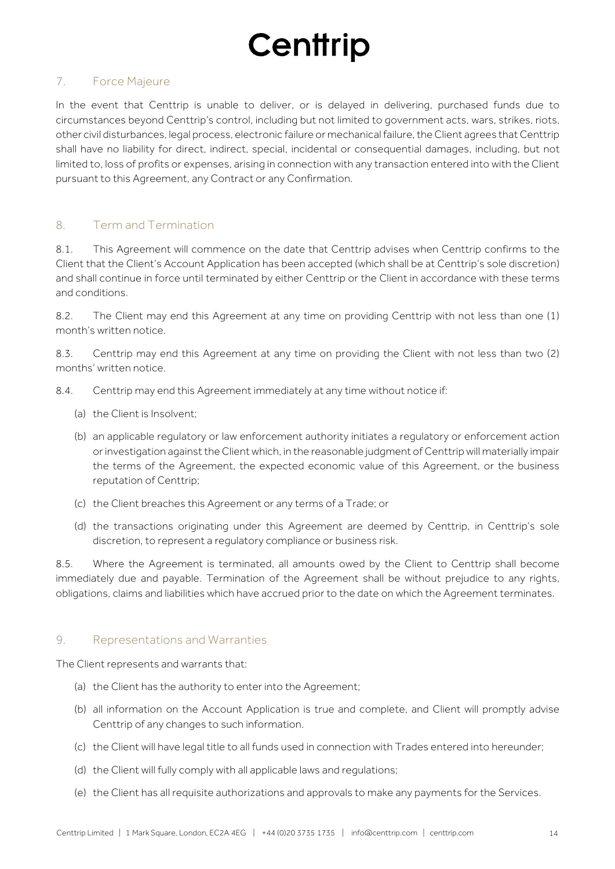### 7. Force Majeure

In the event that Centtrip is unable to deliver, or is delayed in delivering, purchased funds due to circumstances beyond Centtrip's control, including but not limited to government acts, wars, strikes, riots, other civil disturbances, legal process, electronic failure or mechanical failure, the Client agrees that Centtrip shall have no liability for direct, indirect, special, incidental or consequential damages, including, but not limited to, loss of profits or expenses, arising in connection with any transaction entered into with the Client pursuant to this Agreement, any Contract or any Confirmation.

### 8. Term and Termination

8.1. This Agreement will commence on the date that Centtrip advises when Centtrip confirms to the Client that the Client's Account Application has been accepted (which shall be at Centtrip's sole discretion) and shall continue in force until terminated by either Centtrip or the Client in accordance with these terms and conditions.

8.2. The Client may end this Agreement at any time on providing Centtrip with not less than one (1) month's written notice.

8.3. Centtrip may end this Agreement at any time on providing the Client with not less than two (2) months' written notice.

- 8.4. Centtrip may end this Agreement immediately at any time without notice if:
	- (a) the Client is Insolvent;
	- (b) an applicable regulatory or law enforcement authority initiates a regulatory or enforcement action or investigation against the Client which, in the reasonable judgment of Centtrip will materially impair the terms of the Agreement, the expected economic value of this Agreement, or the business reputation of Centtrip;
	- (c) the Client breaches this Agreement or any terms of a Trade; or
	- (d) the transactions originating under this Agreement are deemed by Centtrip, in Centtrip's sole discretion, to represent a regulatory compliance or business risk.

8.5. Where the Agreement is terminated, all amounts owed by the Client to Centtrip shall become immediately due and payable. Termination of the Agreement shall be without prejudice to any rights, obligations, claims and liabilities which have accrued prior to the date on which the Agreement terminates.

#### 9. Representations and Warranties

The Client represents and warrants that:

- (a) the Client has the authority to enter into the Agreement;
- (b) all information on the Account Application is true and complete, and Client will promptly advise Centtrip of any changes to such information.
- (c) the Client will have legal title to all funds used in connection with Trades entered into hereunder;
- (d) the Client will fully comply with all applicable laws and regulations;
- (e) the Client has all requisite authorizations and approvals to make any payments for the Services.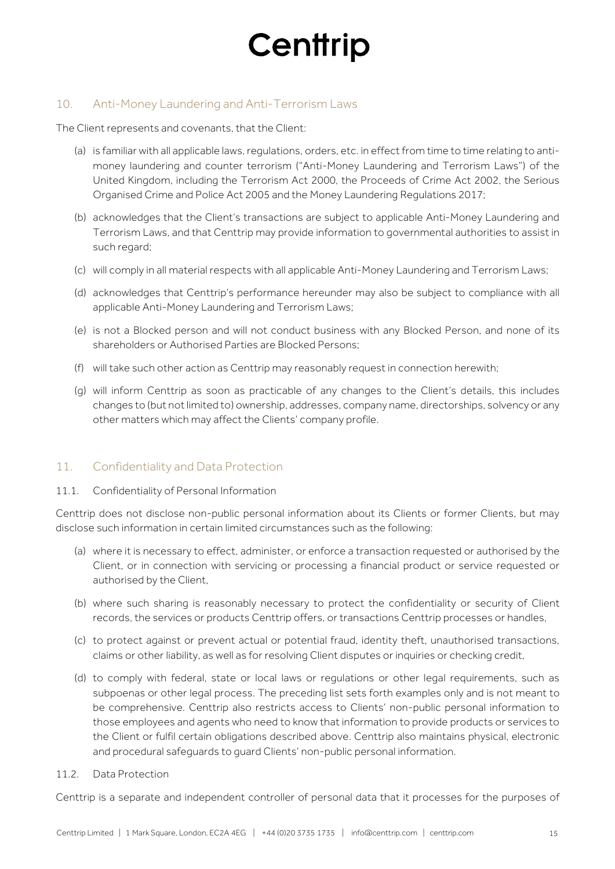### 10. Anti-Money Laundering and Anti-Terrorism Laws

The Client represents and covenants, that the Client:

- (a) is familiar with all applicable laws, regulations, orders, etc. in effect from time to time relating to antimoney laundering and counter terrorism ("Anti-Money Laundering and Terrorism Laws") of the United Kingdom, including the Terrorism Act 2000, the Proceeds of Crime Act 2002, the Serious Organised Crime and Police Act 2005 and the Money Laundering Regulations 2017;
- (b) acknowledges that the Client's transactions are subject to applicable Anti-Money Laundering and Terrorism Laws, and that Centtrip may provide information to governmental authorities to assist in such regard;
- (c) will comply in all material respects with all applicable Anti-Money Laundering and Terrorism Laws;
- (d) acknowledges that Centtrip's performance hereunder may also be subject to compliance with all applicable Anti-Money Laundering and Terrorism Laws;
- (e) is not a Blocked person and will not conduct business with any Blocked Person, and none of its shareholders or Authorised Parties are Blocked Persons;
- (f) will take such other action as Centtrip may reasonably request in connection herewith;
- (g) will inform Centtrip as soon as practicable of any changes to the Client's details, this includes changes to (but not limited to) ownership, addresses, company name, directorships, solvency or any other matters which may affect the Clients' company profile.

### 11. Confidentiality and Data Protection

#### 11.1. Confidentiality of Personal Information

Centtrip does not disclose non-public personal information about its Clients or former Clients, but may disclose such information in certain limited circumstances such as the following:

- (a) where it is necessary to effect, administer, or enforce a transaction requested or authorised by the Client, or in connection with servicing or processing a financial product or service requested or authorised by the Client,
- (b) where such sharing is reasonably necessary to protect the confidentiality or security of Client records, the services or products Centtrip offers, or transactions Centtrip processes or handles,
- (c) to protect against or prevent actual or potential fraud, identity theft, unauthorised transactions, claims or other liability, as well as for resolving Client disputes or inquiries or checking credit,
- (d) to comply with federal, state or local laws or regulations or other legal requirements, such as subpoenas or other legal process. The preceding list sets forth examples only and is not meant to be comprehensive. Centtrip also restricts access to Clients' non-public personal information to those employees and agents who need to know that information to provide products or services to the Client or fulfil certain obligations described above. Centtrip also maintains physical, electronic and procedural safeguards to guard Clients' non-public personal information.

#### 11.2. Data Protection

Centtrip is a separate and independent controller of personal data that it processes for the purposes of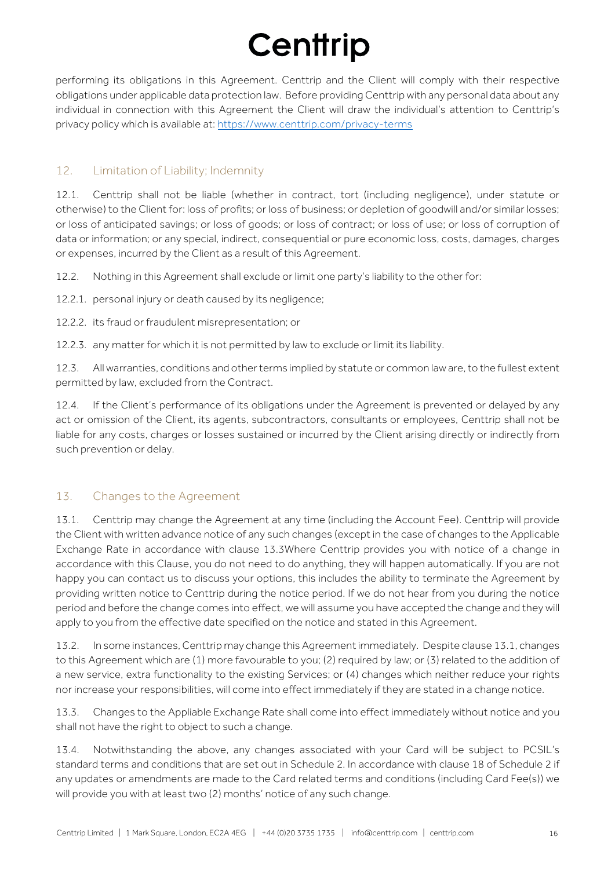performing its obligations in this Agreement. Centtrip and the Client will comply with their respective obligations under applicable data protection law. Before providing Centtrip with any personal data about any individual in connection with this Agreement the Client will draw the individual's attention to Centtrip's privacy policy which is available at: https://www.centtrip.com/privacy-terms

### 12. Limitation of Liability; Indemnity

12.1. Centtrip shall not be liable (whether in contract, tort (including negligence), under statute or otherwise) to the Client for: loss of profits; or loss of business; or depletion of goodwill and/or similar losses; or loss of anticipated savings; or loss of goods; or loss of contract; or loss of use; or loss of corruption of data or information; or any special, indirect, consequential or pure economic loss, costs, damages, charges or expenses, incurred by the Client as a result of this Agreement.

12.2. Nothing in this Agreement shall exclude or limit one party's liability to the other for:

12.2.1. personal injury or death caused by its negligence;

12.2.2. its fraud or fraudulent misrepresentation; or

12.2.3. any matter for which it is not permitted by law to exclude or limit its liability.

12.3. All warranties, conditions and other terms implied by statute or common law are, to the fullest extent permitted by law, excluded from the Contract.

12.4. If the Client's performance of its obligations under the Agreement is prevented or delayed by any act or omission of the Client, its agents, subcontractors, consultants or employees, Centtrip shall not be liable for any costs, charges or losses sustained or incurred by the Client arising directly or indirectly from such prevention or delay.

### 13. Changes to the Agreement

13.1. Centtrip may change the Agreement at any time (including the Account Fee). Centtrip will provide the Client with written advance notice of any such changes (except in the case of changes to the Applicable Exchange Rate in accordance with clause 13.3Where Centtrip provides you with notice of a change in accordance with this Clause, you do not need to do anything, they will happen automatically. If you are not happy you can contact us to discuss your options, this includes the ability to terminate the Agreement by providing written notice to Centtrip during the notice period. If we do not hear from you during the notice period and before the change comes into effect, we will assume you have accepted the change and they will apply to you from the effective date specified on the notice and stated in this Agreement.

13.2. In some instances, Centtrip may change this Agreement immediately. Despite clause 13.1, changes to this Agreement which are (1) more favourable to you; (2) required by law; or (3) related to the addition of a new service, extra functionality to the existing Services; or (4) changes which neither reduce your rights nor increase your responsibilities, will come into effect immediately if they are stated in a change notice.

13.3. Changes to the Appliable Exchange Rate shall come into effect immediately without notice and you shall not have the right to object to such a change.

13.4. Notwithstanding the above, any changes associated with your Card will be subject to PCSIL's standard terms and conditions that are set out in Schedule 2. In accordance with clause 18 of Schedule 2 if any updates or amendments are made to the Card related terms and conditions (including Card Fee(s)) we will provide you with at least two (2) months' notice of any such change.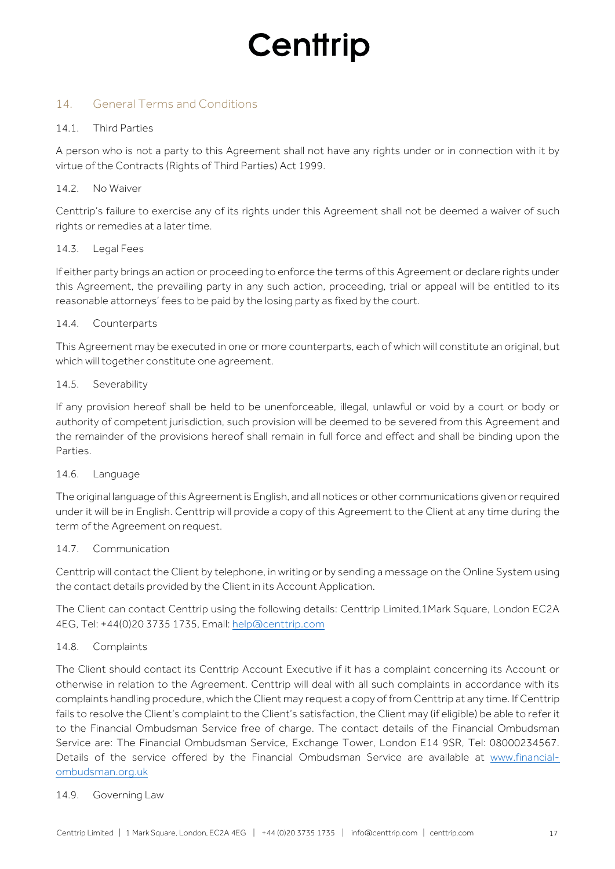### 14. General Terms and Conditions

#### 14.1. Third Parties

A person who is not a party to this Agreement shall not have any rights under or in connection with it by virtue of the Contracts (Rights of Third Parties) Act 1999.

#### 14.2 No Waiver

Centtrip's failure to exercise any of its rights under this Agreement shall not be deemed a waiver of such rights or remedies at a later time.

#### 14.3. Legal Fees

If either party brings an action or proceeding to enforce the terms of this Agreement or declare rights under this Agreement, the prevailing party in any such action, proceeding, trial or appeal will be entitled to its reasonable attorneys' fees to be paid by the losing party as fixed by the court.

#### 14.4. Counterparts

This Agreement may be executed in one or more counterparts, each of which will constitute an original, but which will together constitute one agreement.

#### 14.5. Severability

If any provision hereof shall be held to be unenforceable, illegal, unlawful or void by a court or body or authority of competent jurisdiction, such provision will be deemed to be severed from this Agreement and the remainder of the provisions hereof shall remain in full force and effect and shall be binding upon the Parties.

#### 14.6. Language

The original language of this Agreement is English, and all notices or other communications given or required under it will be in English. Centtrip will provide a copy of this Agreement to the Client at any time during the term of the Agreement on request.

#### 14.7. Communication

Centtrip will contact the Client by telephone, in writing or by sending a message on the Online System using the contact details provided by the Client in its Account Application.

The Client can contact Centtrip using the following details: Centtrip Limited,1Mark Square, London EC2A 4EG, Tel: +44(0)20 3735 1735, Email: help@centtrip.com

#### 14.8. Complaints

The Client should contact its Centtrip Account Executive if it has a complaint concerning its Account or otherwise in relation to the Agreement. Centtrip will deal with all such complaints in accordance with its complaints handling procedure, which the Client may request a copy of from Centtrip at any time. If Centtrip fails to resolve the Client's complaint to the Client's satisfaction, the Client may (if eligible) be able to refer it to the Financial Ombudsman Service free of charge. The contact details of the Financial Ombudsman Service are: The Financial Ombudsman Service, Exchange Tower, London E14 9SR, Tel: 08000234567. Details of the service offered by the Financial Ombudsman Service are available at www.financialombudsman.org.uk

#### 14.9. Governing Law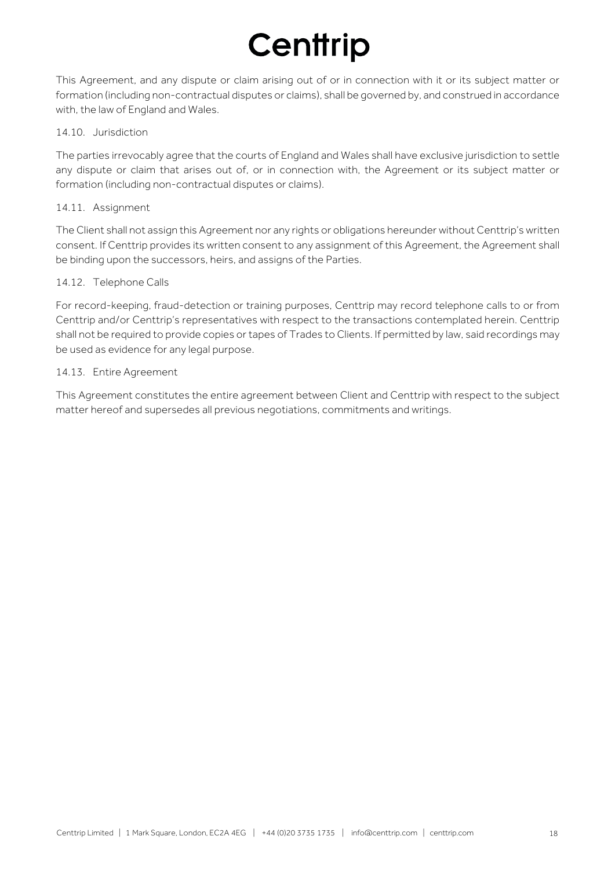This Agreement, and any dispute or claim arising out of or in connection with it or its subject matter or formation (including non-contractual disputes or claims), shall be governed by, and construed in accordance with, the law of England and Wales.

#### 14.10. Jurisdiction

The parties irrevocably agree that the courts of England and Wales shall have exclusive jurisdiction to settle any dispute or claim that arises out of, or in connection with, the Agreement or its subject matter or formation (including non-contractual disputes or claims).

#### 14.11. Assignment

The Client shall not assign this Agreement nor any rights or obligations hereunder without Centtrip's written consent. If Centtrip provides its written consent to any assignment of this Agreement, the Agreement shall be binding upon the successors, heirs, and assigns of the Parties.

#### 14.12. Telephone Calls

For record-keeping, fraud-detection or training purposes, Centtrip may record telephone calls to or from Centtrip and/or Centtrip's representatives with respect to the transactions contemplated herein. Centtrip shall not be required to provide copies or tapes of Trades to Clients. If permitted by law, said recordings may be used as evidence for any legal purpose.

#### 14.13. Entire Agreement

This Agreement constitutes the entire agreement between Client and Centtrip with respect to the subject matter hereof and supersedes all previous negotiations, commitments and writings.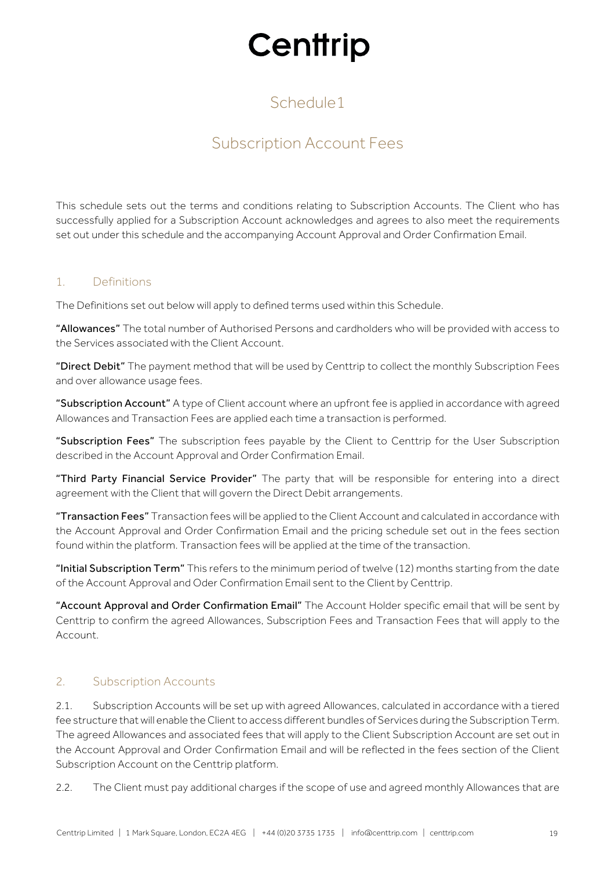## Schedule1

## Subscription Account Fees

This schedule sets out the terms and conditions relating to Subscription Accounts. The Client who has successfully applied for a Subscription Account acknowledges and agrees to also meet the requirements set out under this schedule and the accompanying Account Approval and Order Confirmation Email.

#### 1. Definitions

The Definitions set out below will apply to defined terms used within this Schedule.

"Allowances" The total number of Authorised Persons and cardholders who will be provided with access to the Services associated with the Client Account.

"Direct Debit" The payment method that will be used by Centtrip to collect the monthly Subscription Fees and over allowance usage fees.

"Subscription Account" A type of Client account where an upfront fee is applied in accordance with agreed Allowances and Transaction Fees are applied each time a transaction is performed.

"Subscription Fees" The subscription fees payable by the Client to Centtrip for the User Subscription described in the Account Approval and Order Confirmation Email.

"Third Party Financial Service Provider" The party that will be responsible for entering into a direct agreement with the Client that will govern the Direct Debit arrangements.

"Transaction Fees" Transaction fees will be applied to the Client Account and calculated in accordance with the Account Approval and Order Confirmation Email and the pricing schedule set out in the fees section found within the platform. Transaction fees will be applied at the time of the transaction.

"Initial Subscription Term" This refers to the minimum period of twelve (12) months starting from the date of the Account Approval and Oder Confirmation Email sent to the Client by Centtrip.

"Account Approval and Order Confirmation Email" The Account Holder specific email that will be sent by Centtrip to confirm the agreed Allowances, Subscription Fees and Transaction Fees that will apply to the Account.

### 2. Subscription Accounts

2.1. Subscription Accounts will be set up with agreed Allowances, calculated in accordance with a tiered fee structure that will enable the Client to access different bundles of Services during the Subscription Term. The agreed Allowances and associated fees that will apply to the Client Subscription Account are set out in the Account Approval and Order Confirmation Email and will be reflected in the fees section of the Client Subscription Account on the Centtrip platform.

2.2. The Client must pay additional charges if the scope of use and agreed monthly Allowances that are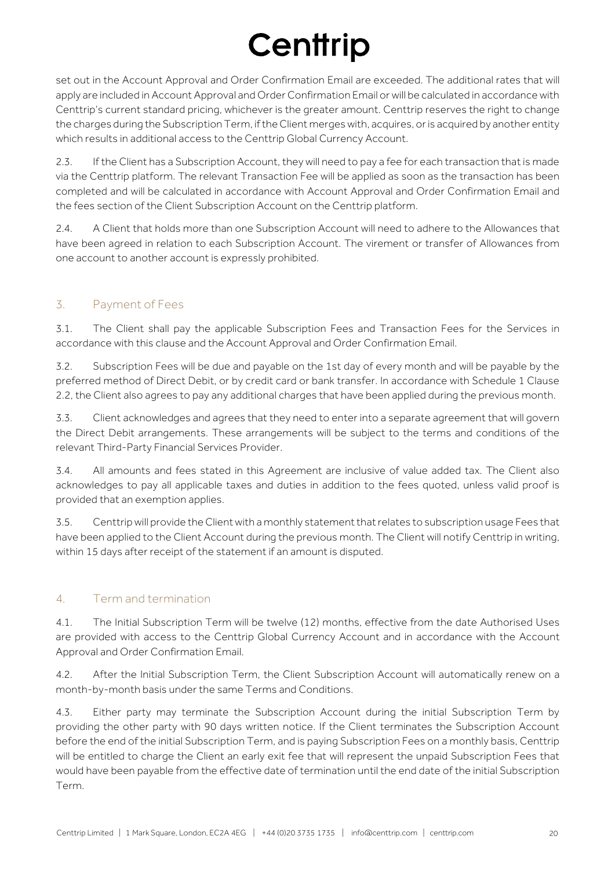set out in the Account Approval and Order Confirmation Email are exceeded. The additional rates that will apply are included in Account Approval and Order Confirmation Email or will be calculated in accordance with Centtrip's current standard pricing, whichever is the greater amount. Centtrip reserves the right to change the charges during the Subscription Term, if the Client merges with, acquires, or is acquired by another entity which results in additional access to the Centtrip Global Currency Account.

2.3. If the Client has a Subscription Account, they will need to pay a fee for each transaction that is made via the Centtrip platform. The relevant Transaction Fee will be applied as soon as the transaction has been completed and will be calculated in accordance with Account Approval and Order Confirmation Email and the fees section of the Client Subscription Account on the Centtrip platform.

2.4. A Client that holds more than one Subscription Account will need to adhere to the Allowances that have been agreed in relation to each Subscription Account. The virement or transfer of Allowances from one account to another account is expressly prohibited.

### 3. Payment of Fees

3.1. The Client shall pay the applicable Subscription Fees and Transaction Fees for the Services in accordance with this clause and the Account Approval and Order Confirmation Email.

3.2. Subscription Fees will be due and payable on the 1st day of every month and will be payable by the preferred method of Direct Debit, or by credit card or bank transfer. In accordance with Schedule 1 Clause 2.2, the Client also agrees to pay any additional charges that have been applied during the previous month.

3.3. Client acknowledges and agrees that they need to enter into a separate agreement that will govern the Direct Debit arrangements. These arrangements will be subject to the terms and conditions of the relevant Third-Party Financial Services Provider.

3.4. All amounts and fees stated in this Agreement are inclusive of value added tax. The Client also acknowledges to pay all applicable taxes and duties in addition to the fees quoted, unless valid proof is provided that an exemption applies.

3.5. Centtrip will provide theClient with a monthly statement that relates to subscription usage Fees that have been applied to the Client Account during the previous month. The Client will notify Centtrip in writing, within 15 days after receipt of the statement if an amount is disputed.

### 4. Term and termination

4.1. The Initial Subscription Term will be twelve (12) months, effective from the date Authorised Uses are provided with access to the Centtrip Global Currency Account and in accordance with the Account Approval and Order Confirmation Email.

4.2. After the Initial Subscription Term, the Client Subscription Account will automatically renew on a month-by-month basis under the same Terms and Conditions.

4.3. Either party may terminate the Subscription Account during the initial Subscription Term by providing the other party with 90 days written notice. If the Client terminates the Subscription Account before the end of the initial Subscription Term, and is paying Subscription Fees on a monthly basis, Centtrip will be entitled to charge the Client an early exit fee that will represent the unpaid Subscription Fees that would have been payable from the effective date of termination until the end date of the initial Subscription Term.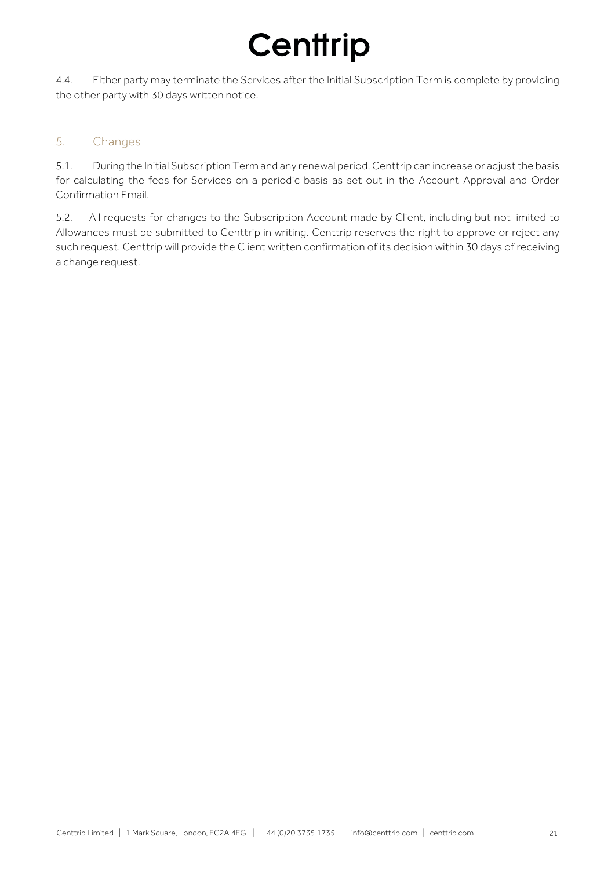4.4. Either party may terminate the Services after the Initial Subscription Term is complete by providing the other party with 30 days written notice.

### 5. Changes

5.1. During the Initial Subscription Term and any renewal period, Centtrip can increase or adjust the basis for calculating the fees for Services on a periodic basis as set out in the Account Approval and Order Confirmation Email.

5.2. All requests for changes to the Subscription Account made by Client, including but not limited to Allowances must be submitted to Centtrip in writing. Centtrip reserves the right to approve or reject any such request. Centtrip will provide the Client written confirmation of its decision within 30 days of receiving a change request.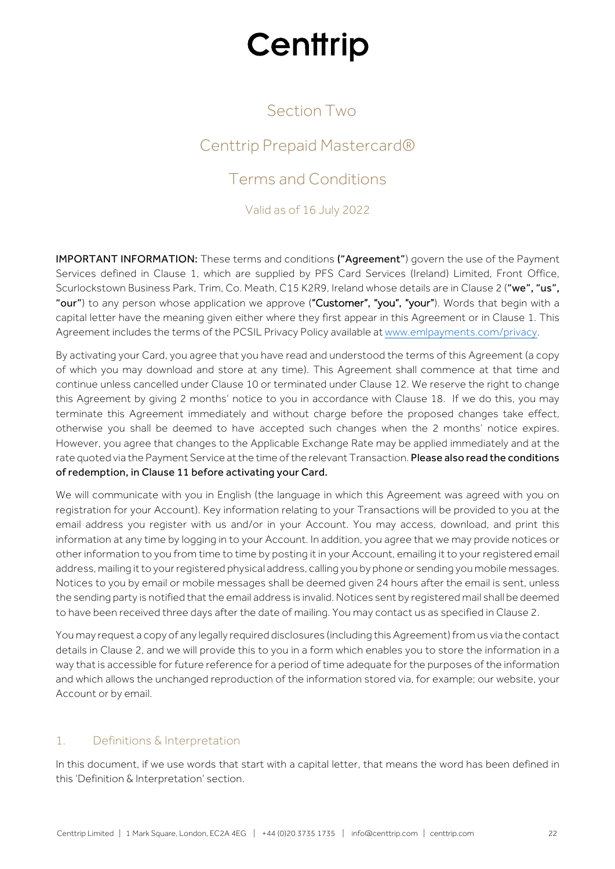## Section Two

## Centtrip Prepaid Mastercard®

## Terms and Conditions

Valid as of 16 July 2022

IMPORTANT INFORMATION: These terms and conditions ("Agreement") govern the use of the Payment Services defined in Clause 1, which are supplied by PFS Card Services (Ireland) Limited, Front Office, Scurlockstown Business Park, Trim, Co. Meath, C15 K2R9, Ireland whose details are in Clause 2 ("we", "us", "our") to any person whose application we approve ("Customer", "you", "your"). Words that begin with a capital letter have the meaning given either where they first appear in this Agreement or in Clause 1. This Agreement includes the terms of the PCSIL Privacy Policy available at www.emlpayments.com/privacy.

By activating your Card, you agree that you have read and understood the terms of this Agreement (a copy of which you may download and store at any time). This Agreement shall commence at that time and continue unless cancelled under Clause 10 or terminated under Clause 12. We reserve the right to change this Agreement by giving 2 months' notice to you in accordance with Clause 18. If we do this, you may terminate this Agreement immediately and without charge before the proposed changes take effect, otherwise you shall be deemed to have accepted such changes when the 2 months' notice expires. However, you agree that changes to the Applicable Exchange Rate may be applied immediately and at the rate quoted via the Payment Service at the time of the relevant Transaction. Please also read the conditions of redemption, in Clause 11 before activating your Card.

We will communicate with you in English (the language in which this Agreement was agreed with you on registration for your Account). Key information relating to your Transactions will be provided to you at the email address you register with us and/or in your Account. You may access, download, and print this information at any time by logging in to your Account. In addition, you agree that we may provide notices or other information to you from time to time by posting it in your Account, emailing it to your registered email address, mailing it to your registered physical address, calling you by phone or sending you mobile messages. Notices to you by email or mobile messages shall be deemed given 24 hours after the email is sent, unless the sending party is notified that the email address is invalid. Notices sent by registered mail shall be deemed to have been received three days after the date of mailing. You may contact us as specified in Clause 2.

You may request a copy of any legally required disclosures (including this Agreement) from us via the contact details in Clause 2, and we will provide this to you in a form which enables you to store the information in a way that is accessible for future reference for a period of time adequate for the purposes of the information and which allows the unchanged reproduction of the information stored via, for example; our website, your Account or by email.

### 1. Definitions & Interpretation

In this document, if we use words that start with a capital letter, that means the word has been defined in this 'Definition & Interpretation' section.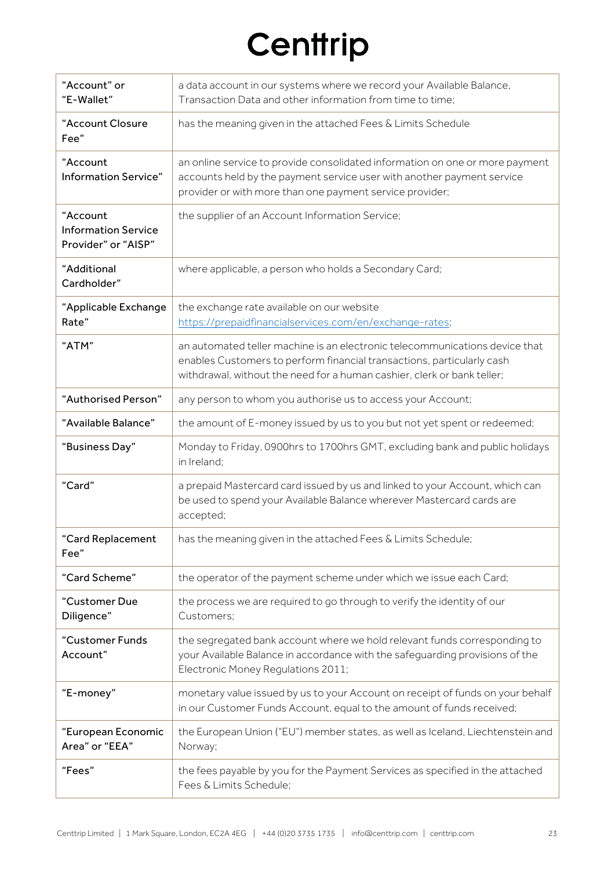| "Account" or<br>"E-Wallet"                                    | a data account in our systems where we record your Available Balance,<br>Transaction Data and other information from time to time;                                                                                               |
|---------------------------------------------------------------|----------------------------------------------------------------------------------------------------------------------------------------------------------------------------------------------------------------------------------|
| "Account Closure<br>Fee"                                      | has the meaning given in the attached Fees & Limits Schedule                                                                                                                                                                     |
| "Account<br><b>Information Service"</b>                       | an online service to provide consolidated information on one or more payment<br>accounts held by the payment service user with another payment service<br>provider or with more than one payment service provider;               |
| "Account<br><b>Information Service</b><br>Provider" or "AISP" | the supplier of an Account Information Service;                                                                                                                                                                                  |
| "Additional<br>Cardholder"                                    | where applicable, a person who holds a Secondary Card;                                                                                                                                                                           |
| "Applicable Exchange<br>Rate"                                 | the exchange rate available on our website<br>https://prepaidfinancialservices.com/en/exchange-rates;                                                                                                                            |
| "ATM"                                                         | an automated teller machine is an electronic telecommunications device that<br>enables Customers to perform financial transactions, particularly cash<br>withdrawal, without the need for a human cashier, clerk or bank teller; |
| "Authorised Person"                                           | any person to whom you authorise us to access your Account;                                                                                                                                                                      |
| "Available Balance"                                           | the amount of E-money issued by us to you but not yet spent or redeemed;                                                                                                                                                         |
| "Business Day"                                                | Monday to Friday, 0900hrs to 1700hrs GMT, excluding bank and public holidays<br>in Ireland;                                                                                                                                      |
| "Card"                                                        | a prepaid Mastercard card issued by us and linked to your Account, which can<br>be used to spend your Available Balance wherever Mastercard cards are<br>accepted;                                                               |
| "Card Replacement<br>Fee"                                     | has the meaning given in the attached Fees & Limits Schedule;                                                                                                                                                                    |
| "Card Scheme"                                                 | the operator of the payment scheme under which we issue each Card;                                                                                                                                                               |
| "Customer Due<br>Diligence"                                   | the process we are required to go through to verify the identity of our<br>Customers;                                                                                                                                            |
| "Customer Funds<br>Account"                                   | the segregated bank account where we hold relevant funds corresponding to<br>your Available Balance in accordance with the safeguarding provisions of the<br>Electronic Money Regulations 2011;                                  |
| "E-money"                                                     | monetary value issued by us to your Account on receipt of funds on your behalf<br>in our Customer Funds Account, equal to the amount of funds received;                                                                          |
| "European Economic<br>Area" or "EEA"                          | the European Union ("EU") member states, as well as Iceland, Liechtenstein and<br>Norway;                                                                                                                                        |
| "Fees"                                                        | the fees payable by you for the Payment Services as specified in the attached<br>Fees & Limits Schedule;                                                                                                                         |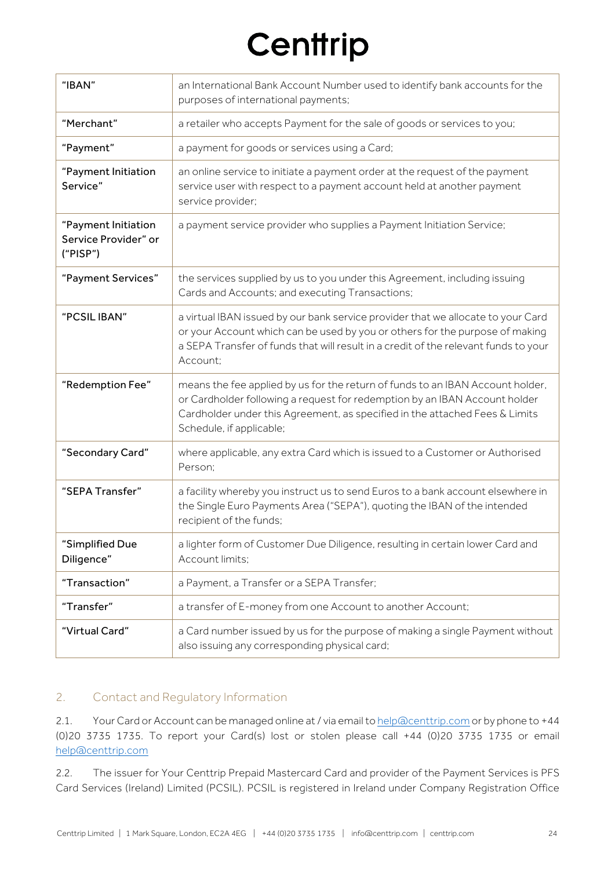| "IBAN"                                                  | an International Bank Account Number used to identify bank accounts for the<br>purposes of international payments;                                                                                                                                                      |
|---------------------------------------------------------|-------------------------------------------------------------------------------------------------------------------------------------------------------------------------------------------------------------------------------------------------------------------------|
| "Merchant"                                              | a retailer who accepts Payment for the sale of goods or services to you;                                                                                                                                                                                                |
| "Payment"                                               | a payment for goods or services using a Card;                                                                                                                                                                                                                           |
| "Payment Initiation<br>Service"                         | an online service to initiate a payment order at the request of the payment<br>service user with respect to a payment account held at another payment<br>service provider;                                                                                              |
| "Payment Initiation<br>Service Provider" or<br>("PISP") | a payment service provider who supplies a Payment Initiation Service;                                                                                                                                                                                                   |
| "Payment Services"                                      | the services supplied by us to you under this Agreement, including issuing<br>Cards and Accounts; and executing Transactions;                                                                                                                                           |
| "PCSIL IBAN"                                            | a virtual IBAN issued by our bank service provider that we allocate to your Card<br>or your Account which can be used by you or others for the purpose of making<br>a SEPA Transfer of funds that will result in a credit of the relevant funds to your<br>Account;     |
| "Redemption Fee"                                        | means the fee applied by us for the return of funds to an IBAN Account holder,<br>or Cardholder following a request for redemption by an IBAN Account holder<br>Cardholder under this Agreement, as specified in the attached Fees & Limits<br>Schedule, if applicable; |
| "Secondary Card"                                        | where applicable, any extra Card which is issued to a Customer or Authorised<br>Person:                                                                                                                                                                                 |
| "SEPA Transfer"                                         | a facility whereby you instruct us to send Euros to a bank account elsewhere in<br>the Single Euro Payments Area ("SEPA"), quoting the IBAN of the intended<br>recipient of the funds;                                                                                  |
| "Simplified Due<br>Diligence"                           | a lighter form of Customer Due Diligence, resulting in certain lower Card and<br>Account limits;                                                                                                                                                                        |
| "Transaction"                                           | a Payment, a Transfer or a SEPA Transfer;                                                                                                                                                                                                                               |
| "Transfer"                                              | a transfer of E-money from one Account to another Account;                                                                                                                                                                                                              |
| "Virtual Card"                                          | a Card number issued by us for the purpose of making a single Payment without<br>also issuing any corresponding physical card;                                                                                                                                          |

### 2. Contact and Regulatory Information

2.1. Your Card or Account can be managed online at / via email to help@centtrip.com or by phone to +44 (0)20 3735 1735. To report your Card(s) lost or stolen please call +44 (0)20 3735 1735 or email help@centtrip.com

2.2. The issuer for Your Centtrip Prepaid Mastercard Card and provider of the Payment Services is PFS Card Services (Ireland) Limited (PCSIL). PCSIL is registered in Ireland under Company Registration Office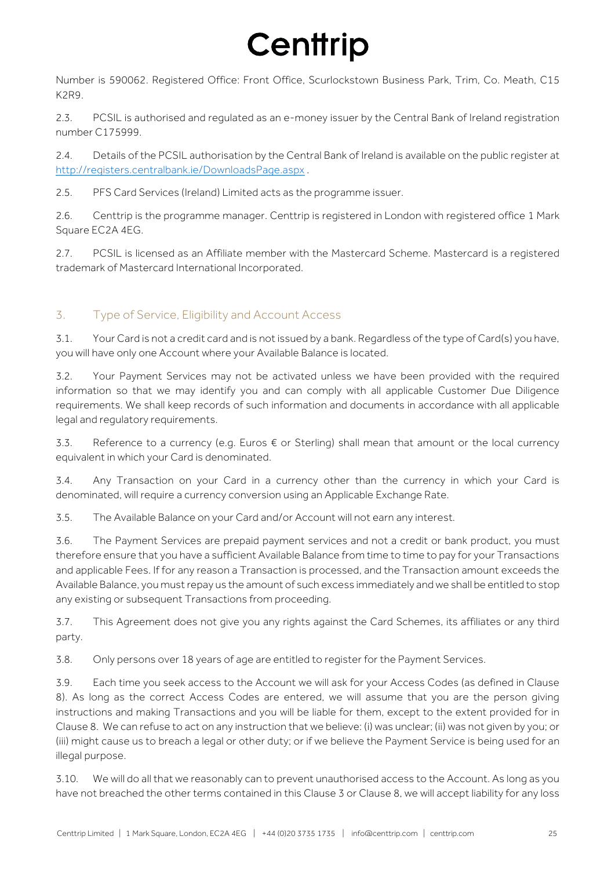Number is 590062. Registered Office: Front Office, Scurlockstown Business Park, Trim, Co. Meath, C15 K2R9.

2.3. PCSIL is authorised and regulated as an e-money issuer by the Central Bank of Ireland registration number C175999.

2.4. Details of the PCSIL authorisation by the Central Bank of Ireland is available on the public register at http://registers.centralbank.ie/DownloadsPage.aspx .

2.5. PFS Card Services (Ireland) Limited acts as the programme issuer.

2.6. Centtrip is the programme manager. Centtrip is registered in London with registered office 1 Mark Square EC2A 4EG.

2.7. PCSIL is licensed as an Affiliate member with the Mastercard Scheme. Mastercard is a registered trademark of Mastercard International Incorporated.

### 3. Type of Service, Eligibility and Account Access

3.1. Your Card is not a credit card and is not issued by a bank. Regardless of the type of Card(s) you have, you will have only one Account where your Available Balance is located.

3.2. Your Payment Services may not be activated unless we have been provided with the required information so that we may identify you and can comply with all applicable Customer Due Diligence requirements. We shall keep records of such information and documents in accordance with all applicable legal and regulatory requirements.

3.3. Reference to a currency (e.g. Euros  $€$  or Sterling) shall mean that amount or the local currency equivalent in which your Card is denominated.

3.4. Any Transaction on your Card in a currency other than the currency in which your Card is denominated, will require a currency conversion using an Applicable Exchange Rate.

3.5. The Available Balance on your Card and/or Account will not earn any interest.

3.6. The Payment Services are prepaid payment services and not a credit or bank product, you must therefore ensure that you have a sufficient Available Balance from time to time to pay for your Transactions and applicable Fees. If for any reason a Transaction is processed, and the Transaction amount exceeds the Available Balance, you must repay us the amount of such excess immediately and we shall be entitled to stop any existing or subsequent Transactions from proceeding.

3.7. This Agreement does not give you any rights against the Card Schemes, its affiliates or any third party.

3.8. Only persons over 18 years of age are entitled to register for the Payment Services.

3.9. Each time you seek access to the Account we will ask for your Access Codes (as defined in Clause 8). As long as the correct Access Codes are entered, we will assume that you are the person giving instructions and making Transactions and you will be liable for them, except to the extent provided for in Clause 8. We can refuse to act on any instruction that we believe: (i) was unclear; (ii) was not given by you; or (iii) might cause us to breach a legal or other duty; or if we believe the Payment Service is being used for an illegal purpose.

3.10. We will do all that we reasonably can to prevent unauthorised access to the Account. As long as you have not breached the other terms contained in this Clause 3 or Clause 8, we will accept liability for any loss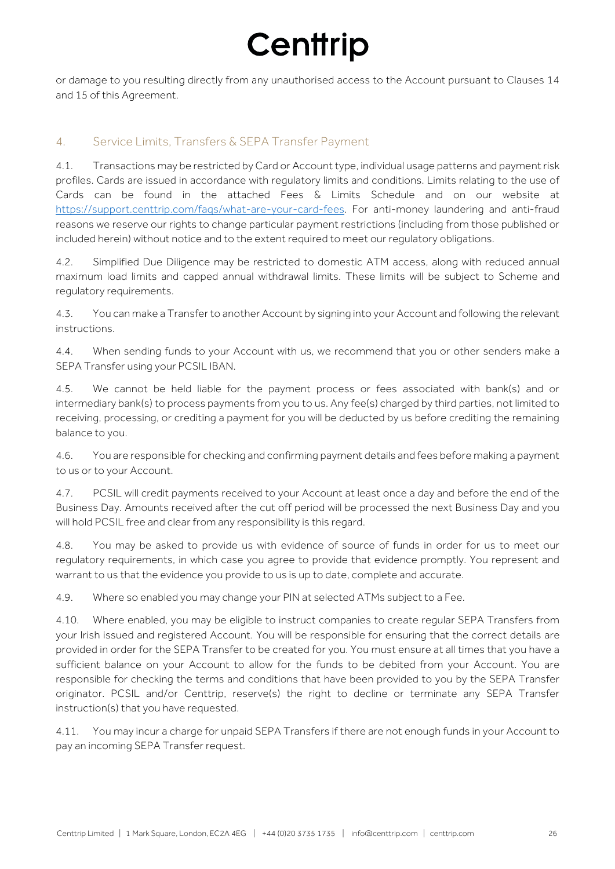or damage to you resulting directly from any unauthorised access to the Account pursuant to Clauses 14 and 15 of this Agreement.

### 4. Service Limits, Transfers & SEPA Transfer Payment

4.1. Transactions may be restricted by Card or Account type, individual usage patterns and payment risk profiles. Cards are issued in accordance with regulatory limits and conditions. Limits relating to the use of Cards can be found in the attached Fees & Limits Schedule and on our website at https://support.centtrip.com/faqs/what-are-your-card-fees. For anti-money laundering and anti-fraud reasons we reserve our rights to change particular payment restrictions (including from those published or included herein) without notice and to the extent required to meet our regulatory obligations.

4.2. Simplified Due Diligence may be restricted to domestic ATM access, along with reduced annual maximum load limits and capped annual withdrawal limits. These limits will be subject to Scheme and regulatory requirements.

4.3. You can make a Transfer to another Account by signing into your Account and following the relevant instructions.

4.4. When sending funds to your Account with us, we recommend that you or other senders make a SEPA Transfer using your PCSIL IBAN.

4.5. We cannot be held liable for the payment process or fees associated with bank(s) and or intermediary bank(s) to process payments from you to us. Any fee(s) charged by third parties, not limited to receiving, processing, or crediting a payment for you will be deducted by us before crediting the remaining balance to you.

4.6. You are responsible for checking and confirming payment details and fees before making a payment to us or to your Account.

4.7. PCSIL will credit payments received to your Account at least once a day and before the end of the Business Day. Amounts received after the cut off period will be processed the next Business Day and you will hold PCSIL free and clear from any responsibility is this regard.

4.8. You may be asked to provide us with evidence of source of funds in order for us to meet our regulatory requirements, in which case you agree to provide that evidence promptly. You represent and warrant to us that the evidence you provide to us is up to date, complete and accurate.

4.9. Where so enabled you may change your PIN at selected ATMs subject to a Fee.

4.10. Where enabled, you may be eligible to instruct companies to create regular SEPA Transfers from your Irish issued and registered Account. You will be responsible for ensuring that the correct details are provided in order for the SEPA Transfer to be created for you. You must ensure at all times that you have a sufficient balance on your Account to allow for the funds to be debited from your Account. You are responsible for checking the terms and conditions that have been provided to you by the SEPA Transfer originator. PCSIL and/or Centtrip, reserve(s) the right to decline or terminate any SEPA Transfer instruction(s) that you have requested.

4.11. You may incur a charge for unpaid SEPA Transfers if there are not enough funds in your Account to pay an incoming SEPA Transfer request.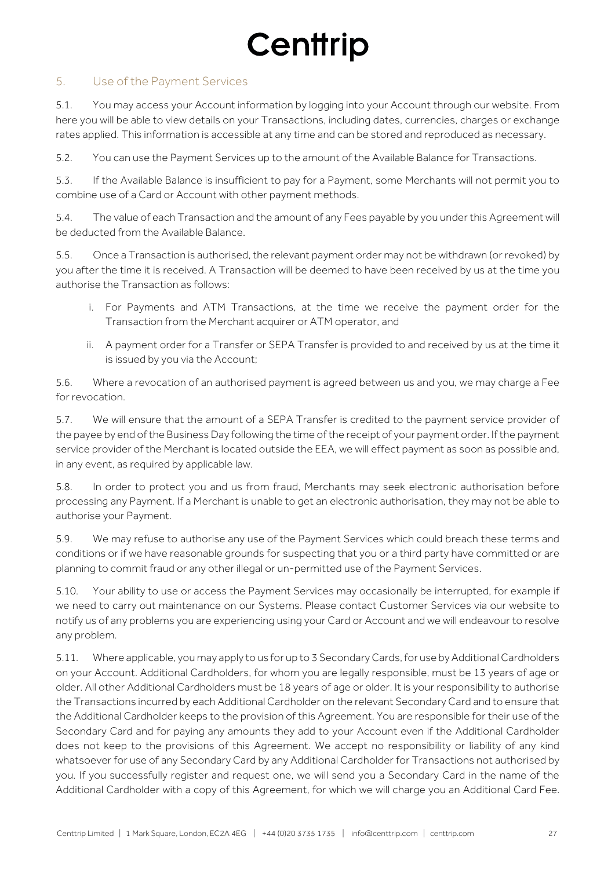### 5. Use of the Payment Services

5.1. You may access your Account information by logging into your Account through our website. From here you will be able to view details on your Transactions, including dates, currencies, charges or exchange rates applied. This information is accessible at any time and can be stored and reproduced as necessary.

5.2. You can use the Payment Services up to the amount of the Available Balance for Transactions.

5.3. If the Available Balance is insufficient to pay for a Payment, some Merchants will not permit you to combine use of a Card or Account with other payment methods.

5.4. The value of each Transaction and the amount of any Fees payable by you under this Agreement will be deducted from the Available Balance.

5.5. Once a Transaction is authorised, the relevant payment order may not be withdrawn (or revoked) by you after the time it is received. A Transaction will be deemed to have been received by us at the time you authorise the Transaction as follows:

- i. For Payments and ATM Transactions, at the time we receive the payment order for the Transaction from the Merchant acquirer or ATM operator, and
- ii. A payment order for a Transfer or SEPA Transfer is provided to and received by us at the time it is issued by you via the Account;

5.6. Where a revocation of an authorised payment is agreed between us and you, we may charge a Fee for revocation.

5.7. We will ensure that the amount of a SEPA Transfer is credited to the payment service provider of the payee by end of the Business Day following the time of the receipt of your payment order. If the payment service provider of the Merchant is located outside the EEA, we will effect payment as soon as possible and, in any event, as required by applicable law.

5.8. In order to protect you and us from fraud, Merchants may seek electronic authorisation before processing any Payment. If a Merchant is unable to get an electronic authorisation, they may not be able to authorise your Payment.

5.9. We may refuse to authorise any use of the Payment Services which could breach these terms and conditions or if we have reasonable grounds for suspecting that you or a third party have committed or are planning to commit fraud or any other illegal or un-permitted use of the Payment Services.

5.10. Your ability to use or access the Payment Services may occasionally be interrupted, for example if we need to carry out maintenance on our Systems. Please contact Customer Services via our website to notify us of any problems you are experiencing using your Card or Account and we will endeavour to resolve any problem.

5.11. Where applicable, you may apply to us for up to 3 Secondary Cards, for use by Additional Cardholders on your Account. Additional Cardholders, for whom you are legally responsible, must be 13 years of age or older. All other Additional Cardholders must be 18 years of age or older. It is your responsibility to authorise the Transactions incurred by each Additional Cardholder on the relevant Secondary Card and to ensure that the Additional Cardholder keeps to the provision of this Agreement. You are responsible for their use of the Secondary Card and for paying any amounts they add to your Account even if the Additional Cardholder does not keep to the provisions of this Agreement. We accept no responsibility or liability of any kind whatsoever for use of any Secondary Card by any Additional Cardholder for Transactions not authorised by you. If you successfully register and request one, we will send you a Secondary Card in the name of the Additional Cardholder with a copy of this Agreement, for which we will charge you an Additional Card Fee.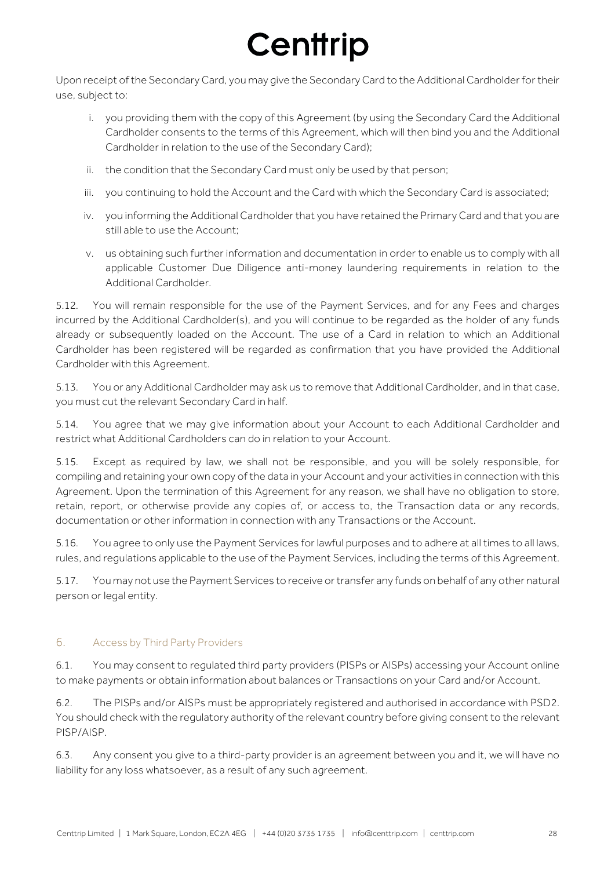Upon receipt of the Secondary Card, you may give the Secondary Card to the Additional Cardholder for their use, subject to:

- i. you providing them with the copy of this Agreement (by using the Secondary Card the Additional Cardholder consents to the terms of this Agreement, which will then bind you and the Additional Cardholder in relation to the use of the Secondary Card);
- ii. the condition that the Secondary Card must only be used by that person;
- iii. you continuing to hold the Account and the Card with which the Secondary Card is associated;
- iv. you informing the Additional Cardholder that you have retained the Primary Card and that you are still able to use the Account:
- v. us obtaining such further information and documentation in order to enable us to comply with all applicable Customer Due Diligence anti-money laundering requirements in relation to the Additional Cardholder.

5.12. You will remain responsible for the use of the Payment Services, and for any Fees and charges incurred by the Additional Cardholder(s), and you will continue to be regarded as the holder of any funds already or subsequently loaded on the Account. The use of a Card in relation to which an Additional Cardholder has been registered will be regarded as confirmation that you have provided the Additional Cardholder with this Agreement.

5.13. You or any Additional Cardholder may ask us to remove that Additional Cardholder, and in that case, you must cut the relevant Secondary Card in half.

5.14. You agree that we may give information about your Account to each Additional Cardholder and restrict what Additional Cardholders can do in relation to your Account.

5.15. Except as required by law, we shall not be responsible, and you will be solely responsible, for compiling and retaining your own copy of the data in your Account and your activities in connection with this Agreement. Upon the termination of this Agreement for any reason, we shall have no obligation to store, retain, report, or otherwise provide any copies of, or access to, the Transaction data or any records, documentation or other information in connection with any Transactions or the Account.

5.16. You agree to only use the Payment Services for lawful purposes and to adhere at all times to all laws, rules, and regulations applicable to the use of the Payment Services, including the terms of this Agreement.

5.17. You may not use the Payment Services to receive or transfer any funds on behalf of any other natural person or legal entity.

### 6. Access by Third Party Providers

6.1. You may consent to regulated third party providers (PISPs or AISPs) accessing your Account online to make payments or obtain information about balances or Transactions on your Card and/or Account.

6.2. The PISPs and/or AISPs must be appropriately registered and authorised in accordance with PSD2. You should check with the regulatory authority of the relevant country before giving consent to the relevant PISP/AISP.

6.3. Any consent you give to a third-party provider is an agreement between you and it, we will have no liability for any loss whatsoever, as a result of any such agreement.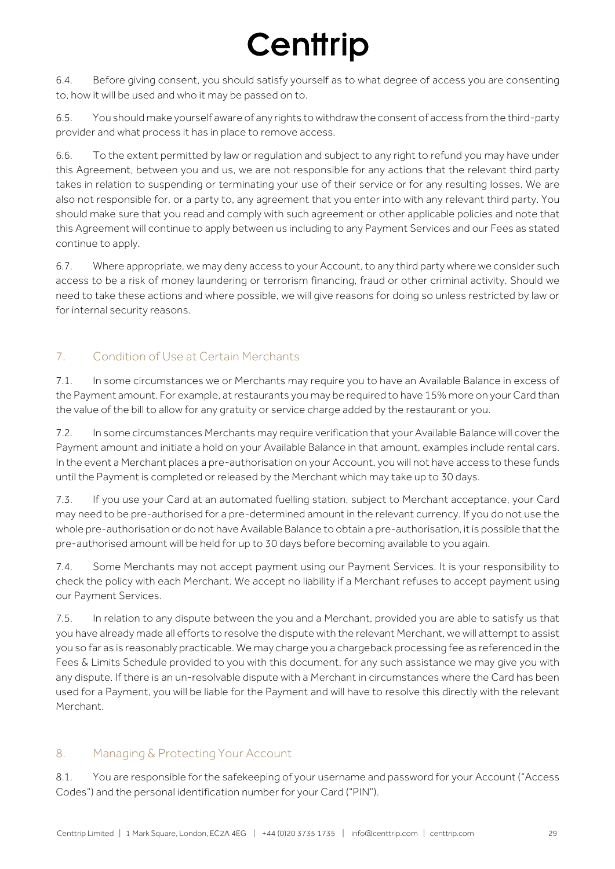6.4. Before giving consent, you should satisfy yourself as to what degree of access you are consenting to, how it will be used and who it may be passed on to.

6.5. You should make yourself aware of any rights to withdraw the consent of access from the third-party provider and what process it has in place to remove access.

6.6. To the extent permitted by law or regulation and subject to any right to refund you may have under this Agreement, between you and us, we are not responsible for any actions that the relevant third party takes in relation to suspending or terminating your use of their service or for any resulting losses. We are also not responsible for, or a party to, any agreement that you enter into with any relevant third party. You should make sure that you read and comply with such agreement or other applicable policies and note that this Agreement will continue to apply between us including to any Payment Services and our Fees as stated continue to apply.

6.7. Where appropriate, we may deny access to your Account, to any third party where we consider such access to be a risk of money laundering or terrorism financing, fraud or other criminal activity. Should we need to take these actions and where possible, we will give reasons for doing so unless restricted by law or for internal security reasons.

### 7. Condition of Use at Certain Merchants

7.1. In some circumstances we or Merchants may require you to have an Available Balance in excess of the Payment amount. For example, at restaurants you may be required to have 15% more on your Card than the value of the bill to allow for any gratuity or service charge added by the restaurant or you.

7.2. In some circumstances Merchants may require verification that your Available Balance will cover the Payment amount and initiate a hold on your Available Balance in that amount, examples include rental cars. In the event a Merchant places a pre-authorisation on your Account, you will not have access to these funds until the Payment is completed or released by the Merchant which may take up to 30 days.

7.3. If you use your Card at an automated fuelling station, subject to Merchant acceptance, your Card may need to be pre-authorised for a pre-determined amount in the relevant currency. If you do not use the whole pre-authorisation or do not have Available Balance to obtain a pre-authorisation, it is possible that the pre-authorised amount will be held for up to 30 days before becoming available to you again.

7.4. Some Merchants may not accept payment using our Payment Services. It is your responsibility to check the policy with each Merchant. We accept no liability if a Merchant refuses to accept payment using our Payment Services.

7.5. In relation to any dispute between the you and a Merchant, provided you are able to satisfy us that you have already made all efforts to resolve the dispute with the relevant Merchant, we will attempt to assist you so far as is reasonably practicable. We may charge you a chargeback processing fee as referenced in the Fees & Limits Schedule provided to you with this document, for any such assistance we may give you with any dispute. If there is an un-resolvable dispute with a Merchant in circumstances where the Card has been used for a Payment, you will be liable for the Payment and will have to resolve this directly with the relevant Merchant.

### 8. Managing & Protecting Your Account

8.1. You are responsible for the safekeeping of your username and password for your Account ("Access Codes") and the personal identification number for your Card ("PIN").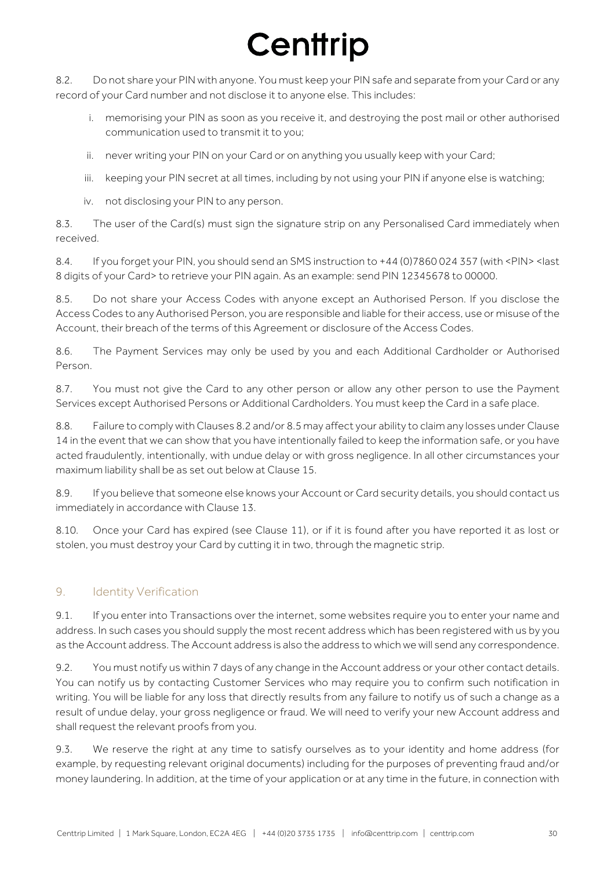8.2. Do not share your PIN with anyone. You must keep your PIN safe and separate from your Card or any record of your Card number and not disclose it to anyone else. This includes:

- i. memorising your PIN as soon as you receive it, and destroying the post mail or other authorised communication used to transmit it to you;
- ii. never writing your PIN on your Card or on anything you usually keep with your Card;
- iii. keeping your PIN secret at all times, including by not using your PIN if anyone else is watching;
- iv. not disclosing your PIN to any person.

8.3. The user of the Card(s) must sign the signature strip on any Personalised Card immediately when received.

8.4. If you forget your PIN, you should send an SMS instruction to +44 (0)7860 024 357 (with <PIN> <last 8 digits of your Card> to retrieve your PIN again. As an example: send PIN 12345678 to 00000.

8.5. Do not share your Access Codes with anyone except an Authorised Person. If you disclose the Access Codes to any Authorised Person, you are responsible and liable for their access, use or misuse of the Account, their breach of the terms of this Agreement or disclosure of the Access Codes.

8.6. The Payment Services may only be used by you and each Additional Cardholder or Authorised Person.

8.7. You must not give the Card to any other person or allow any other person to use the Payment Services except Authorised Persons or Additional Cardholders. You must keep the Card in a safe place.

8.8. Failure to comply with Clauses 8.2 and/or 8.5 may affect your ability to claim any losses under Clause 14 in the event that we can show that you have intentionally failed to keep the information safe, or you have acted fraudulently, intentionally, with undue delay or with gross negligence. In all other circumstances your maximum liability shall be as set out below at Clause 15.

8.9. If you believe that someone else knows your Account or Card security details, you should contact us immediately in accordance with Clause 13.

8.10. Once your Card has expired (see Clause 11), or if it is found after you have reported it as lost or stolen, you must destroy your Card by cutting it in two, through the magnetic strip.

### 9. Identity Verification

9.1. If you enter into Transactions over the internet, some websites require you to enter your name and address. In such cases you should supply the most recent address which has been registered with us by you as the Account address. The Account address is also the address to which we will send any correspondence.

9.2. You must notify us within 7 days of any change in the Account address or your other contact details. You can notify us by contacting Customer Services who may require you to confirm such notification in writing. You will be liable for any loss that directly results from any failure to notify us of such a change as a result of undue delay, your gross negligence or fraud. We will need to verify your new Account address and shall request the relevant proofs from you.

9.3. We reserve the right at any time to satisfy ourselves as to your identity and home address (for example, by requesting relevant original documents) including for the purposes of preventing fraud and/or money laundering. In addition, at the time of your application or at any time in the future, in connection with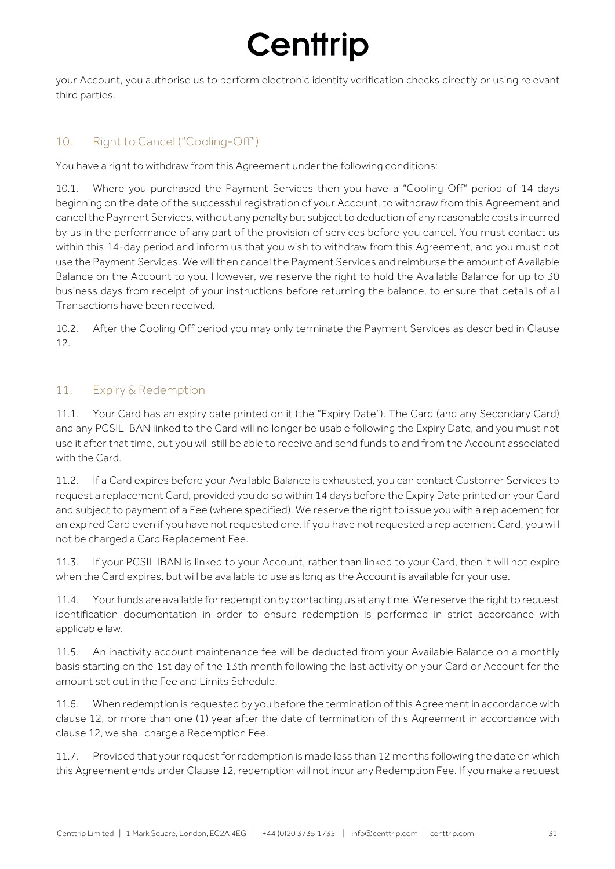your Account, you authorise us to perform electronic identity verification checks directly or using relevant third parties.

### 10. Right to Cancel ("Cooling-Off")

You have a right to withdraw from this Agreement under the following conditions:

10.1. Where you purchased the Payment Services then you have a "Cooling Off" period of 14 days beginning on the date of the successful registration of your Account, to withdraw from this Agreement and cancel the Payment Services, without any penalty but subject to deduction of any reasonable costs incurred by us in the performance of any part of the provision of services before you cancel. You must contact us within this 14-day period and inform us that you wish to withdraw from this Agreement, and you must not use the Payment Services. We will then cancel the Payment Services and reimburse the amount of Available Balance on the Account to you. However, we reserve the right to hold the Available Balance for up to 30 business days from receipt of your instructions before returning the balance, to ensure that details of all Transactions have been received.

10.2. After the Cooling Off period you may only terminate the Payment Services as described in Clause 12.

### 11. Expiry & Redemption

11.1. Your Card has an expiry date printed on it (the "Expiry Date"). The Card (and any Secondary Card) and any PCSIL IBAN linked to the Card will no longer be usable following the Expiry Date, and you must not use it after that time, but you will still be able to receive and send funds to and from the Account associated with the Card.

11.2. If a Card expires before your Available Balance is exhausted, you can contact Customer Services to request a replacement Card, provided you do so within 14 days before the Expiry Date printed on your Card and subject to payment of a Fee (where specified). We reserve the right to issue you with a replacement for an expired Card even if you have not requested one. If you have not requested a replacement Card, you will not be charged a Card Replacement Fee.

11.3. If your PCSIL IBAN is linked to your Account, rather than linked to your Card, then it will not expire when the Card expires, but will be available to use as long as the Account is available for your use.

11.4. Your funds are available for redemption by contacting us at any time. We reserve the right to request identification documentation in order to ensure redemption is performed in strict accordance with applicable law.

11.5. An inactivity account maintenance fee will be deducted from your Available Balance on a monthly basis starting on the 1st day of the 13th month following the last activity on your Card or Account for the amount set out in the Fee and Limits Schedule.

11.6. When redemption is requested by you before the termination of this Agreement in accordance with clause 12, or more than one (1) year after the date of termination of this Agreement in accordance with clause 12, we shall charge a Redemption Fee.

11.7. Provided that your request for redemption is made less than 12 months following the date on which this Agreement ends under Clause 12, redemption will not incur any Redemption Fee. If you make a request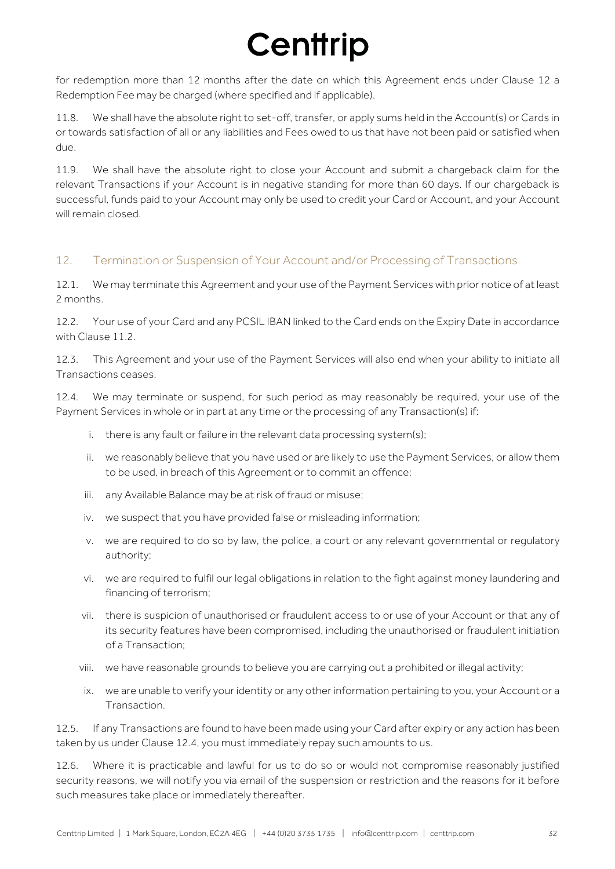for redemption more than 12 months after the date on which this Agreement ends under Clause 12 a Redemption Fee may be charged (where specified and if applicable).

11.8. We shall have the absolute right to set-off, transfer, or apply sums held in the Account(s) or Cards in or towards satisfaction of all or any liabilities and Fees owed to us that have not been paid or satisfied when due.

11.9. We shall have the absolute right to close your Account and submit a chargeback claim for the relevant Transactions if your Account is in negative standing for more than 60 days. If our chargeback is successful, funds paid to your Account may only be used to credit your Card or Account, and your Account will remain closed.

### 12. Termination or Suspension of Your Account and/or Processing of Transactions

12.1. We may terminate this Agreement and your use of the Payment Services with prior notice of at least 2 months.

12.2. Your use of your Card and any PCSIL IBAN linked to the Card ends on the Expiry Date in accordance with Clause 11.2.

12.3. This Agreement and your use of the Payment Services will also end when your ability to initiate all Transactions ceases.

12.4. We may terminate or suspend, for such period as may reasonably be required, your use of the Payment Services in whole or in part at any time or the processing of any Transaction(s) if:

- i. there is any fault or failure in the relevant data processing system(s);
- ii. we reasonably believe that you have used or are likely to use the Payment Services, or allow them to be used, in breach of this Agreement or to commit an offence;
- iii. any Available Balance may be at risk of fraud or misuse;
- iv. we suspect that you have provided false or misleading information;
- v. we are required to do so by law, the police, a court or any relevant governmental or regulatory authority;
- vi. we are required to fulfil our legal obligations in relation to the fight against money laundering and financing of terrorism;
- vii. there is suspicion of unauthorised or fraudulent access to or use of your Account or that any of its security features have been compromised, including the unauthorised or fraudulent initiation of a Transaction;
- viii. we have reasonable grounds to believe you are carrying out a prohibited or illegal activity;
- ix. we are unable to verify your identity or any other information pertaining to you, your Account or a Transaction.

12.5. If any Transactions are found to have been made using your Card after expiry or any action has been taken by us under Clause 12.4, you must immediately repay such amounts to us.

12.6. Where it is practicable and lawful for us to do so or would not compromise reasonably justified security reasons, we will notify you via email of the suspension or restriction and the reasons for it before such measures take place or immediately thereafter.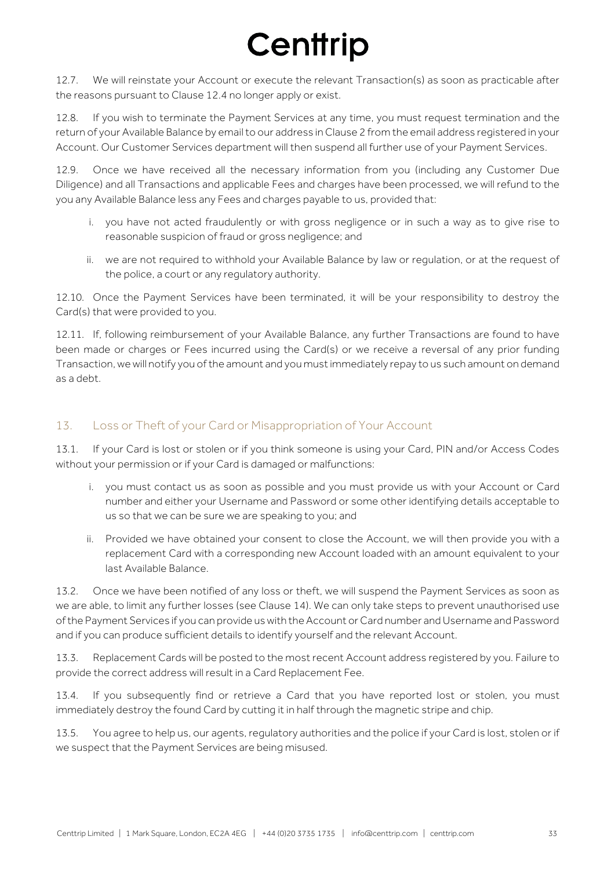12.7. We will reinstate your Account or execute the relevant Transaction(s) as soon as practicable after the reasons pursuant to Clause 12.4 no longer apply or exist.

12.8. If you wish to terminate the Payment Services at any time, you must request termination and the return of your Available Balance by email to our address in Clause 2 from the email address registered in your Account. Our Customer Services department will then suspend all further use of your Payment Services.

12.9. Once we have received all the necessary information from you (including any Customer Due Diligence) and all Transactions and applicable Fees and charges have been processed, we will refund to the you any Available Balance less any Fees and charges payable to us, provided that:

- i. you have not acted fraudulently or with gross negligence or in such a way as to give rise to reasonable suspicion of fraud or gross negligence; and
- ii. we are not required to withhold your Available Balance by law or regulation, or at the request of the police, a court or any regulatory authority.

12.10. Once the Payment Services have been terminated, it will be your responsibility to destroy the Card(s) that were provided to you.

12.11. If, following reimbursement of your Available Balance, any further Transactions are found to have been made or charges or Fees incurred using the Card(s) or we receive a reversal of any prior funding Transaction, we will notify you of the amount and you must immediately repay to us such amount on demand as a debt.

### 13. Loss or Theft of your Card or Misappropriation of Your Account

13.1. If your Card is lost or stolen or if you think someone is using your Card, PIN and/or Access Codes without your permission or if your Card is damaged or malfunctions:

- i. you must contact us as soon as possible and you must provide us with your Account or Card number and either your Username and Password or some other identifying details acceptable to us so that we can be sure we are speaking to you; and
- ii. Provided we have obtained your consent to close the Account, we will then provide you with a replacement Card with a corresponding new Account loaded with an amount equivalent to your last Available Balance.

13.2. Once we have been notified of any loss or theft, we will suspend the Payment Services as soon as we are able, to limit any further losses (see Clause 14). We can only take steps to prevent unauthorised use of the Payment Services if you can provide us with the Account or Card number and Username and Password and if you can produce sufficient details to identify yourself and the relevant Account.

13.3. Replacement Cards will be posted to the most recent Account address registered by you. Failure to provide the correct address will result in a Card Replacement Fee.

13.4. If you subsequently find or retrieve a Card that you have reported lost or stolen, you must immediately destroy the found Card by cutting it in half through the magnetic stripe and chip.

13.5. You agree to help us, our agents, regulatory authorities and the police if your Card is lost, stolen or if we suspect that the Payment Services are being misused.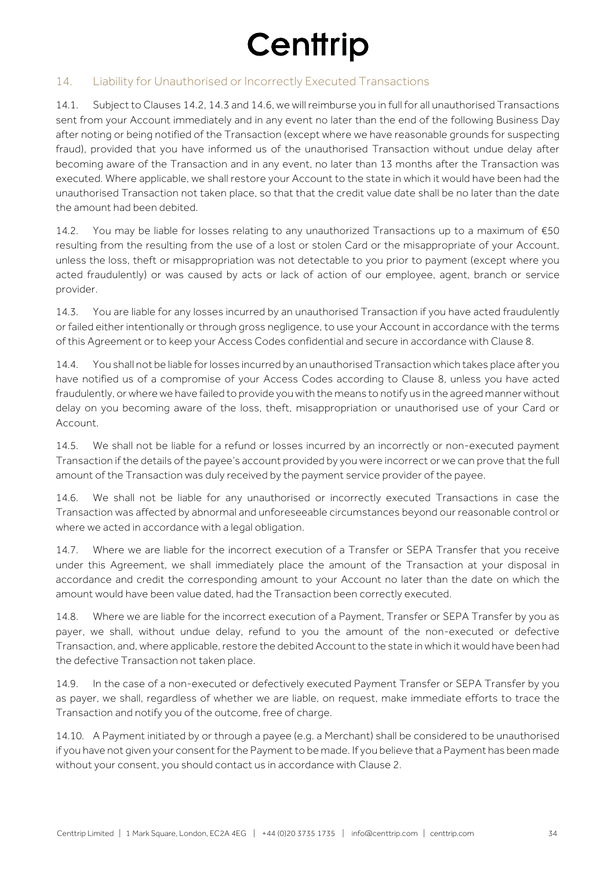### 14. Liability for Unauthorised or Incorrectly Executed Transactions

14.1. Subject to Clauses 14.2, 14.3 and 14.6, we will reimburse you in full for all unauthorised Transactions sent from your Account immediately and in any event no later than the end of the following Business Day after noting or being notified of the Transaction (except where we have reasonable grounds for suspecting fraud), provided that you have informed us of the unauthorised Transaction without undue delay after becoming aware of the Transaction and in any event, no later than 13 months after the Transaction was executed. Where applicable, we shall restore your Account to the state in which it would have been had the unauthorised Transaction not taken place, so that that the credit value date shall be no later than the date the amount had been debited.

14.2. You may be liable for losses relating to any unauthorized Transactions up to a maximum of €50 resulting from the resulting from the use of a lost or stolen Card or the misappropriate of your Account, unless the loss, theft or misappropriation was not detectable to you prior to payment (except where you acted fraudulently) or was caused by acts or lack of action of our employee, agent, branch or service provider.

14.3. You are liable for any losses incurred by an unauthorised Transaction if you have acted fraudulently or failed either intentionally or through gross negligence, to use your Account in accordance with the terms of this Agreement or to keep your Access Codes confidential and secure in accordance with Clause 8.

14.4. You shall not be liable for losses incurred by an unauthorised Transaction which takes place after you have notified us of a compromise of your Access Codes according to Clause 8, unless you have acted fraudulently, or where we have failed to provide you with the means to notify us in the agreed manner without delay on you becoming aware of the loss, theft, misappropriation or unauthorised use of your Card or Account.

14.5. We shall not be liable for a refund or losses incurred by an incorrectly or non-executed payment Transaction if the details of the payee's account provided by you were incorrect or we can prove that the full amount of the Transaction was duly received by the payment service provider of the payee.

14.6. We shall not be liable for any unauthorised or incorrectly executed Transactions in case the Transaction was affected by abnormal and unforeseeable circumstances beyond our reasonable control or where we acted in accordance with a legal obligation.

14.7. Where we are liable for the incorrect execution of a Transfer or SEPA Transfer that you receive under this Agreement, we shall immediately place the amount of the Transaction at your disposal in accordance and credit the corresponding amount to your Account no later than the date on which the amount would have been value dated, had the Transaction been correctly executed.

14.8. Where we are liable for the incorrect execution of a Payment, Transfer or SEPA Transfer by you as payer, we shall, without undue delay, refund to you the amount of the non-executed or defective Transaction, and, where applicable, restore the debited Account to the state in which it would have been had the defective Transaction not taken place.

14.9. In the case of a non-executed or defectively executed Payment Transfer or SEPA Transfer by you as payer, we shall, regardless of whether we are liable, on request, make immediate efforts to trace the Transaction and notify you of the outcome, free of charge.

14.10. A Payment initiated by or through a payee (e.g. a Merchant) shall be considered to be unauthorised if you have not given your consent for the Payment to be made. If you believe that a Payment has been made without your consent, you should contact us in accordance with Clause 2.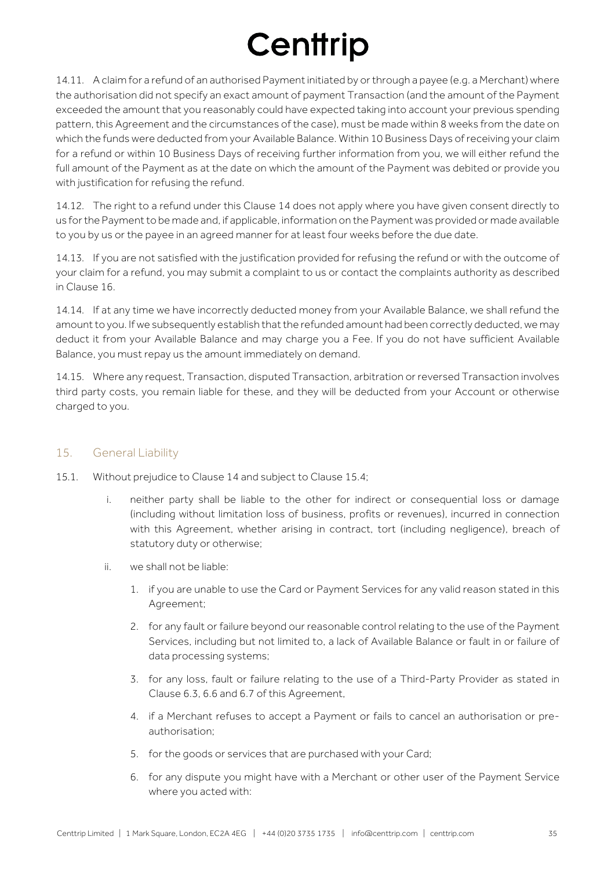14.11. A claim for a refund of an authorised Payment initiated by or through a payee (e.g. a Merchant) where the authorisation did not specify an exact amount of payment Transaction (and the amount of the Payment exceeded the amount that you reasonably could have expected taking into account your previous spending pattern, this Agreement and the circumstances of the case), must be made within 8 weeks from the date on which the funds were deducted from your Available Balance. Within 10 Business Days of receiving your claim for a refund or within 10 Business Days of receiving further information from you, we will either refund the full amount of the Payment as at the date on which the amount of the Payment was debited or provide you with justification for refusing the refund.

14.12. The right to a refund under this Clause 14 does not apply where you have given consent directly to us for the Payment to be made and, if applicable, information on the Payment was provided or made available to you by us or the payee in an agreed manner for at least four weeks before the due date.

14.13. If you are not satisfied with the justification provided for refusing the refund or with the outcome of your claim for a refund, you may submit a complaint to us or contact the complaints authority as described in Clause 16.

14.14. If at any time we have incorrectly deducted money from your Available Balance, we shall refund the amount to you. If we subsequently establish that the refunded amount had been correctly deducted, we may deduct it from your Available Balance and may charge you a Fee. If you do not have sufficient Available Balance, you must repay us the amount immediately on demand.

14.15. Where any request, Transaction, disputed Transaction, arbitration or reversed Transaction involves third party costs, you remain liable for these, and they will be deducted from your Account or otherwise charged to you.

### 15. General Liability

- 15.1. Without prejudice to Clause 14 and subject to Clause 15.4;
	- i. neither party shall be liable to the other for indirect or consequential loss or damage (including without limitation loss of business, profits or revenues), incurred in connection with this Agreement, whether arising in contract, tort (including negligence), breach of statutory duty or otherwise;
	- ii. we shall not be liable:
		- 1. if you are unable to use the Card or Payment Services for any valid reason stated in this Agreement;
		- 2. for any fault or failure beyond our reasonable control relating to the use of the Payment Services, including but not limited to, a lack of Available Balance or fault in or failure of data processing systems;
		- 3. for any loss, fault or failure relating to the use of a Third-Party Provider as stated in Clause 6.3, 6.6 and 6.7 of this Agreement,
		- 4. if a Merchant refuses to accept a Payment or fails to cancel an authorisation or preauthorisation;
		- 5. for the goods or services that are purchased with your Card;
		- 6. for any dispute you might have with a Merchant or other user of the Payment Service where you acted with: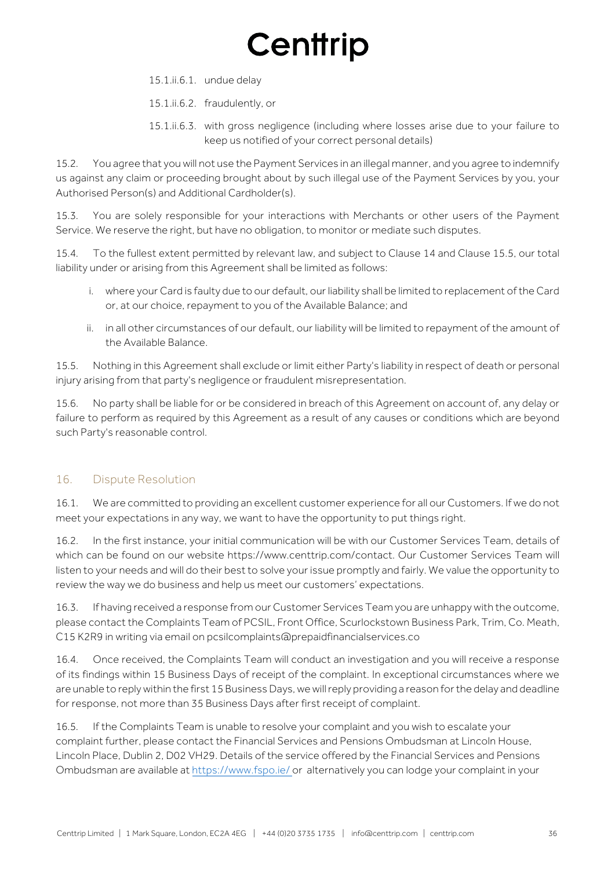15.1.ii.6.1. undue delay

15.1.ii.6.2. fraudulently, or

15.1.ii.6.3. with gross negligence (including where losses arise due to your failure to keep us notified of your correct personal details)

15.2. You agree that you will not use the Payment Services in an illegal manner, and you agree to indemnify us against any claim or proceeding brought about by such illegal use of the Payment Services by you, your Authorised Person(s) and Additional Cardholder(s).

15.3. You are solely responsible for your interactions with Merchants or other users of the Payment Service. We reserve the right, but have no obligation, to monitor or mediate such disputes.

15.4. To the fullest extent permitted by relevant law, and subject to Clause 14 and Clause 15.5, our total liability under or arising from this Agreement shall be limited as follows:

- i. where your Card is faulty due to our default, our liability shall be limited to replacement of the Card or, at our choice, repayment to you of the Available Balance; and
- ii. in all other circumstances of our default, our liability will be limited to repayment of the amount of the Available Balance.

15.5. Nothing in this Agreement shall exclude or limit either Party's liability in respect of death or personal injury arising from that party's negligence or fraudulent misrepresentation.

15.6. No party shall be liable for or be considered in breach of this Agreement on account of, any delay or failure to perform as required by this Agreement as a result of any causes or conditions which are beyond such Party's reasonable control.

### 16. Dispute Resolution

16.1. We are committed to providing an excellent customer experience for all our Customers. If we do not meet your expectations in any way, we want to have the opportunity to put things right.

16.2. In the first instance, your initial communication will be with our Customer Services Team, details of which can be found on our website https://www.centtrip.com/contact. Our Customer Services Team will listen to your needs and will do their best to solve your issue promptly and fairly. We value the opportunity to review the way we do business and help us meet our customers' expectations.

16.3. If having received a response from our Customer Services Team you are unhappy with the outcome, please contact the Complaints Team of PCSIL, Front Office, Scurlockstown Business Park, Trim, Co. Meath, C15 K2R9 in writing via email on pcsilcomplaints@prepaidfinancialservices.co

16.4. Once received, the Complaints Team will conduct an investigation and you will receive a response of its findings within 15 Business Days of receipt of the complaint. In exceptional circumstances where we are unable to reply within the first 15 Business Days, we will reply providing a reason for the delay and deadline for response, not more than 35 Business Days after first receipt of complaint.

16.5. If the Complaints Team is unable to resolve your complaint and you wish to escalate your complaint further, please contact the Financial Services and Pensions Ombudsman at Lincoln House, Lincoln Place, Dublin 2, D02 VH29. Details of the service offered by the Financial Services and Pensions Ombudsman are available at https://www.fspo.ie/ or alternatively you can lodge your complaint in your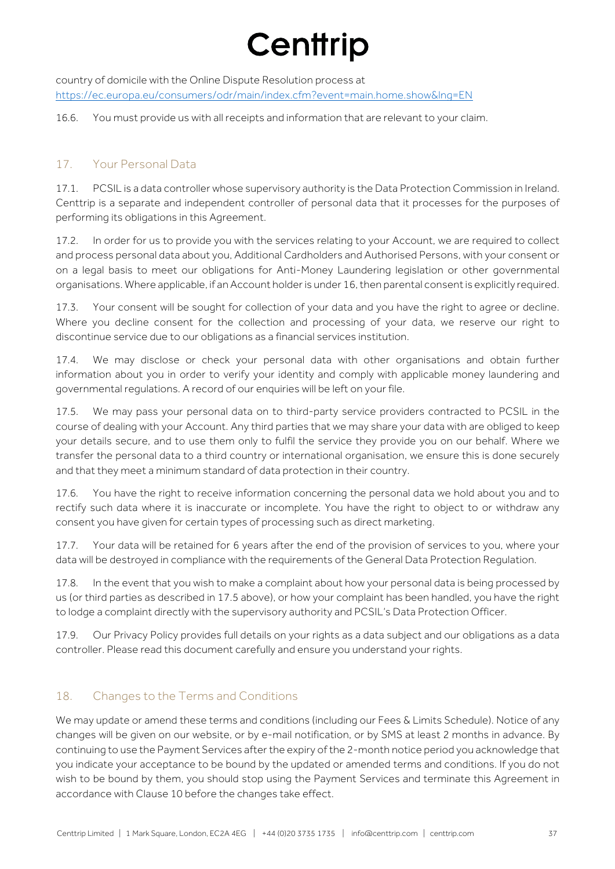country of domicile with the Online Dispute Resolution process at https://ec.europa.eu/consumers/odr/main/index.cfm?event=main.home.show&lng=EN

16.6. You must provide us with all receipts and information that are relevant to your claim.

### 17. Your Personal Data

17.1. PCSIL is a data controller whose supervisory authority is the Data Protection Commission in Ireland. Centtrip is a separate and independent controller of personal data that it processes for the purposes of performing its obligations in this Agreement.

17.2. In order for us to provide you with the services relating to your Account, we are required to collect and process personal data about you, Additional Cardholders and Authorised Persons, with your consent or on a legal basis to meet our obligations for Anti-Money Laundering legislation or other governmental organisations. Where applicable, if an Account holder is under 16, then parental consent is explicitly required.

17.3. Your consent will be sought for collection of your data and you have the right to agree or decline. Where you decline consent for the collection and processing of your data, we reserve our right to discontinue service due to our obligations as a financial services institution.

17.4. We may disclose or check your personal data with other organisations and obtain further information about you in order to verify your identity and comply with applicable money laundering and governmental regulations. A record of our enquiries will be left on your file.

17.5. We may pass your personal data on to third-party service providers contracted to PCSIL in the course of dealing with your Account. Any third parties that we may share your data with are obliged to keep your details secure, and to use them only to fulfil the service they provide you on our behalf. Where we transfer the personal data to a third country or international organisation, we ensure this is done securely and that they meet a minimum standard of data protection in their country.

17.6. You have the right to receive information concerning the personal data we hold about you and to rectify such data where it is inaccurate or incomplete. You have the right to object to or withdraw any consent you have given for certain types of processing such as direct marketing.

17.7. Your data will be retained for 6 years after the end of the provision of services to you, where your data will be destroyed in compliance with the requirements of the General Data Protection Regulation.

17.8. In the event that you wish to make a complaint about how your personal data is being processed by us (or third parties as described in 17.5 above), or how your complaint has been handled, you have the right to lodge a complaint directly with the supervisory authority and PCSIL's Data Protection Officer.

17.9. Our Privacy Policy provides full details on your rights as a data subject and our obligations as a data controller. Please read this document carefully and ensure you understand your rights.

### 18. Changes to the Terms and Conditions

We may update or amend these terms and conditions (including our Fees & Limits Schedule). Notice of any changes will be given on our website, or by e-mail notification, or by SMS at least 2 months in advance. By continuing to use the Payment Services after the expiry of the 2-month notice period you acknowledge that you indicate your acceptance to be bound by the updated or amended terms and conditions. If you do not wish to be bound by them, you should stop using the Payment Services and terminate this Agreement in accordance with Clause 10 before the changes take effect.